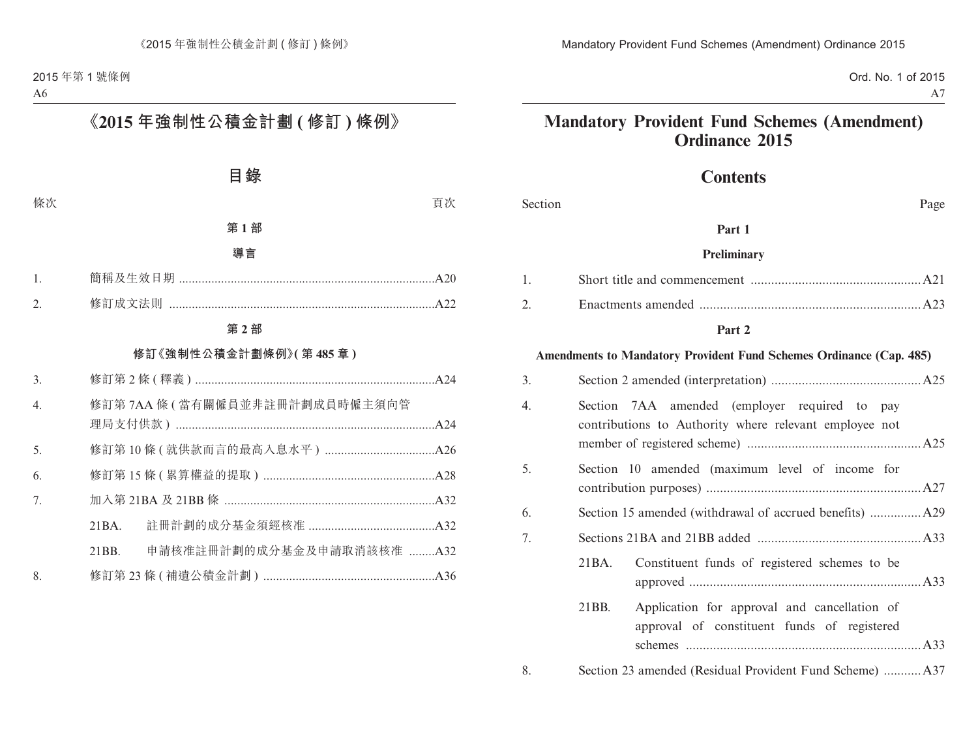Ord. No. 1 of 2015 A7

# **Mandatory Provident Fund Schemes (Amendment) Ordinance 2015**

# **Contents**

Section Page

#### **Part 1**

#### **Preliminary**

#### **Part 2**

#### **Amendments to Mandatory Provident Fund Schemes Ordinance (Cap. 485)**

| 3. |                                                                                                         |  |  |  |  |
|----|---------------------------------------------------------------------------------------------------------|--|--|--|--|
| 4. | Section 7AA amended (employer required to pay<br>contributions to Authority where relevant employee not |  |  |  |  |
| 5. | Section 10 amended (maximum level of income for                                                         |  |  |  |  |
| 6. |                                                                                                         |  |  |  |  |
| 7. |                                                                                                         |  |  |  |  |
|    | Constituent funds of registered schemes to be<br>21BA.                                                  |  |  |  |  |
|    | 21BB.<br>Application for approval and cancellation of<br>approval of constituent funds of registered    |  |  |  |  |
| 8. |                                                                                                         |  |  |  |  |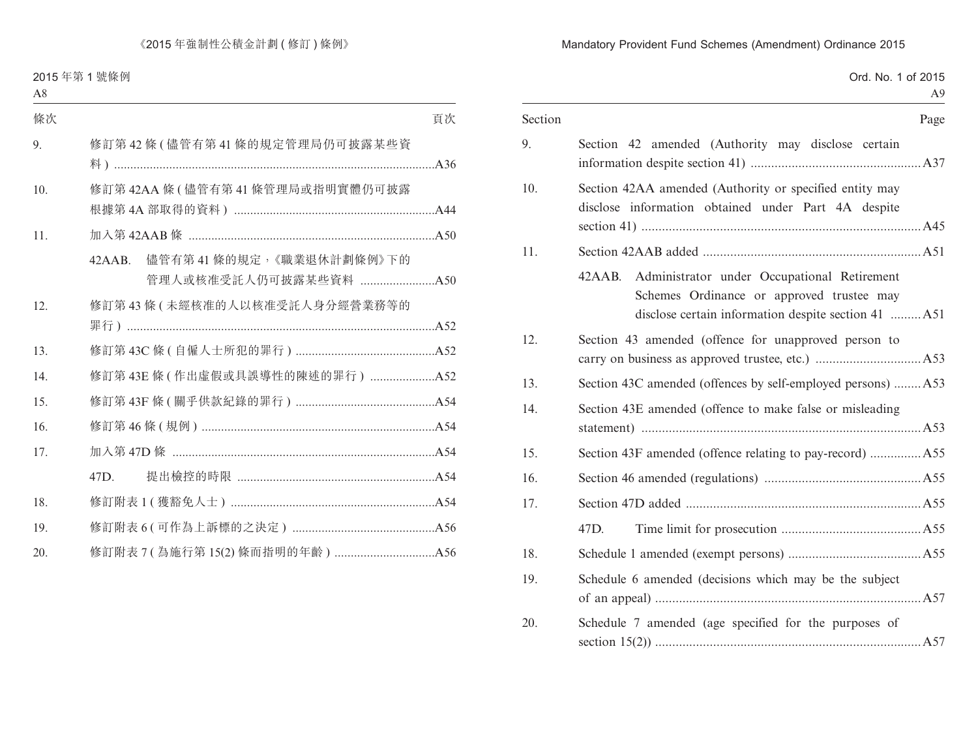| Section | Page                                                                                                                                                         |
|---------|--------------------------------------------------------------------------------------------------------------------------------------------------------------|
| 9.      | Section 42 amended (Authority may disclose certain                                                                                                           |
| 10.     | Section 42AA amended (Authority or specified entity may<br>disclose information obtained under Part 4A despite                                               |
| 11.     |                                                                                                                                                              |
|         | Administrator under Occupational Retirement<br>42 A A B.<br>Schemes Ordinance or approved trustee may<br>disclose certain information despite section 41 A51 |
| 12.     | Section 43 amended (offence for unapproved person to                                                                                                         |
| 13.     | Section 43C amended (offences by self-employed persons)  A53                                                                                                 |
| 14.     | Section 43E amended (offence to make false or misleading                                                                                                     |
| 15.     | Section 43F amended (offence relating to pay-record) A55                                                                                                     |
| 16.     |                                                                                                                                                              |
| 17.     |                                                                                                                                                              |
|         | 47D.                                                                                                                                                         |
| 18.     |                                                                                                                                                              |
| 19.     | Schedule 6 amended (decisions which may be the subject                                                                                                       |
| 20.     | Schedule 7 amended (age specified for the purposes of                                                                                                        |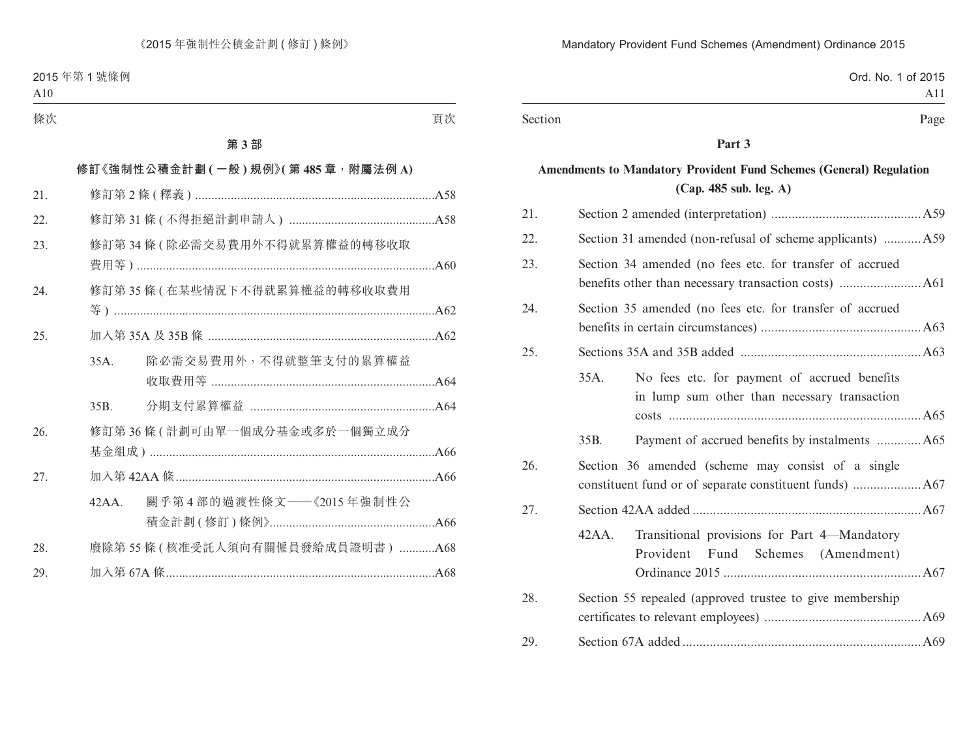|         | Ord. No. 1 of 2015 |
|---------|--------------------|
|         |                    |
| Section | Page               |

#### **Part 3**

# **Amendments to Mandatory Provident Fund Schemes (General) Regulation (Cap. 485 sub. leg. A)**

| 21. |                                                                                                      |  |  |  |
|-----|------------------------------------------------------------------------------------------------------|--|--|--|
| 22. | Section 31 amended (non-refusal of scheme applicants) A59                                            |  |  |  |
| 23. | Section 34 amended (no fees etc. for transfer of accrued                                             |  |  |  |
| 24. | Section 35 amended (no fees etc. for transfer of accrued                                             |  |  |  |
| 25. |                                                                                                      |  |  |  |
|     | 35A.<br>No fees etc. for payment of accrued benefits<br>in lump sum other than necessary transaction |  |  |  |
|     | 35B.                                                                                                 |  |  |  |
| 26. | Section 36 amended (scheme may consist of a single                                                   |  |  |  |
| 27. |                                                                                                      |  |  |  |
|     | Transitional provisions for Part 4-Mandatory<br>42AA.<br>Provident<br>Fund<br>Schemes<br>(Amendment) |  |  |  |
| 28. | Section 55 repealed (approved trustee to give membership                                             |  |  |  |
| 29. |                                                                                                      |  |  |  |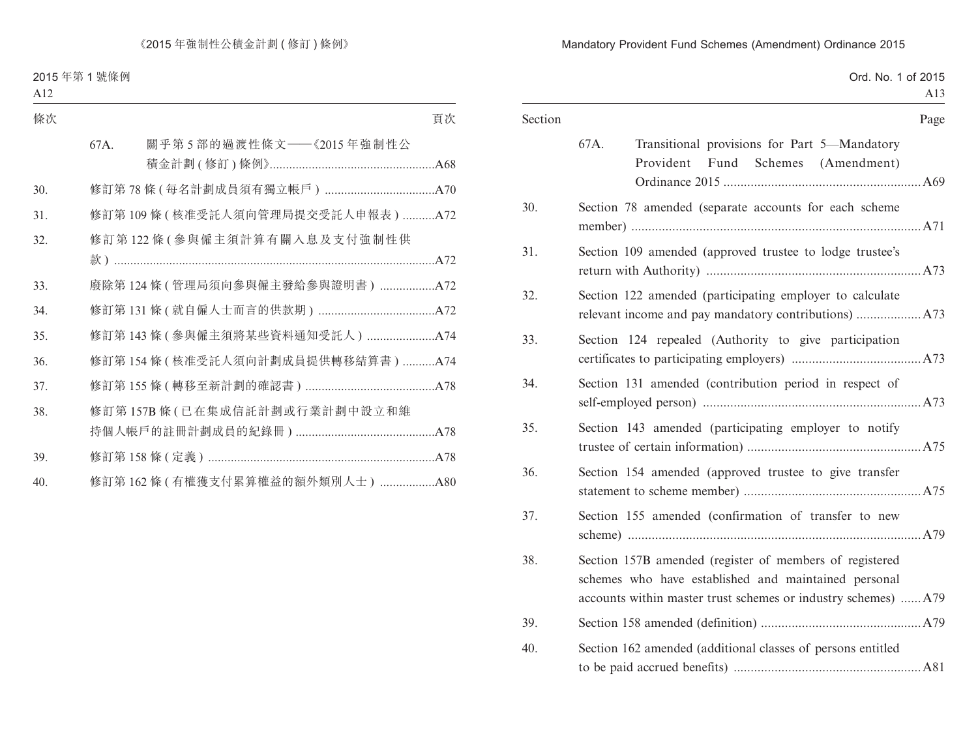| Section | Page                                                                                                                                                                              |  |
|---------|-----------------------------------------------------------------------------------------------------------------------------------------------------------------------------------|--|
|         | 67A.<br>Transitional provisions for Part 5-Mandatory<br>Provident Fund Schemes (Amendment)                                                                                        |  |
| 30.     | Section 78 amended (separate accounts for each scheme                                                                                                                             |  |
| 31.     | Section 109 amended (approved trustee to lodge trustee's                                                                                                                          |  |
| 32.     | Section 122 amended (participating employer to calculate                                                                                                                          |  |
| 33.     | Section 124 repealed (Authority to give participation                                                                                                                             |  |
| 34.     | Section 131 amended (contribution period in respect of                                                                                                                            |  |
| 35.     | Section 143 amended (participating employer to notify                                                                                                                             |  |
| 36.     | Section 154 amended (approved trustee to give transfer                                                                                                                            |  |
| 37.     | Section 155 amended (confirmation of transfer to new                                                                                                                              |  |
| 38.     | Section 157B amended (register of members of registered<br>schemes who have established and maintained personal<br>accounts within master trust schemes or industry schemes)  A79 |  |
| 39.     |                                                                                                                                                                                   |  |
| 40.     | Section 162 amended (additional classes of persons entitled                                                                                                                       |  |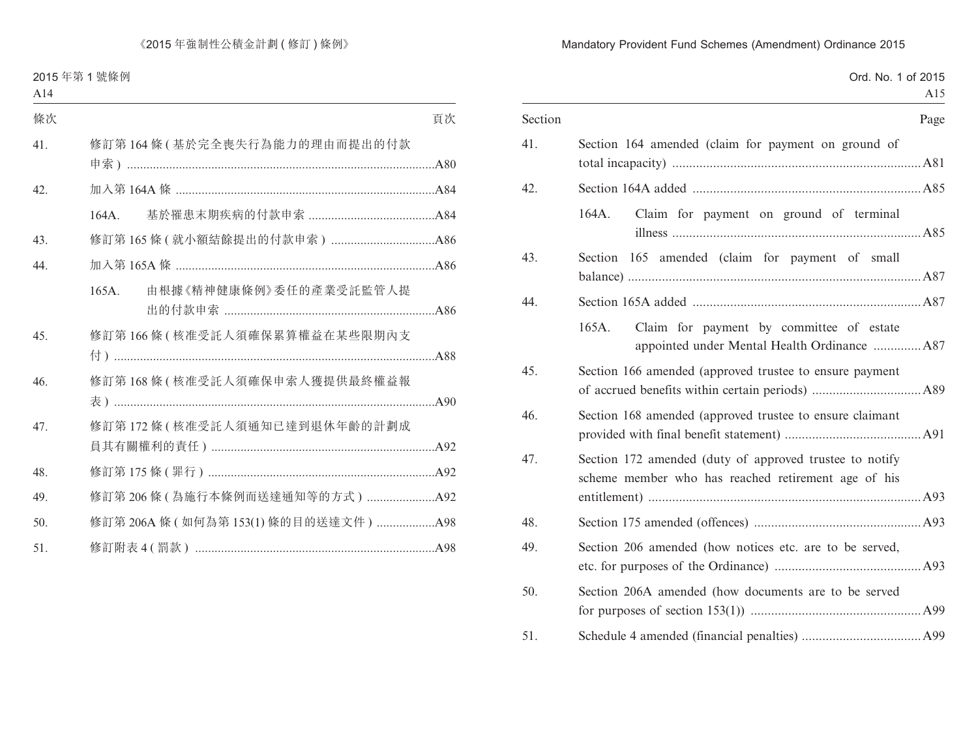|         | Ord. No. 1 of 2015<br>A15                                                                                      |
|---------|----------------------------------------------------------------------------------------------------------------|
| Section | Page                                                                                                           |
| 41.     | Section 164 amended (claim for payment on ground of                                                            |
| 42.     |                                                                                                                |
|         | Claim for payment on ground of terminal<br>164A.                                                               |
| 43.     | Section 165 amended (claim for payment of small                                                                |
| 44.     |                                                                                                                |
|         | Claim for payment by committee of estate<br>165A.<br>appointed under Mental Health Ordinance A87               |
| 45.     | Section 166 amended (approved trustee to ensure payment                                                        |
| 46.     | Section 168 amended (approved trustee to ensure claimant                                                       |
| 47.     | Section 172 amended (duty of approved trustee to notify<br>scheme member who has reached retirement age of his |
| 48.     |                                                                                                                |
| 49.     | Section 206 amended (how notices etc. are to be served,                                                        |
| 50.     | Section 206A amended (how documents are to be served                                                           |
| 51.     |                                                                                                                |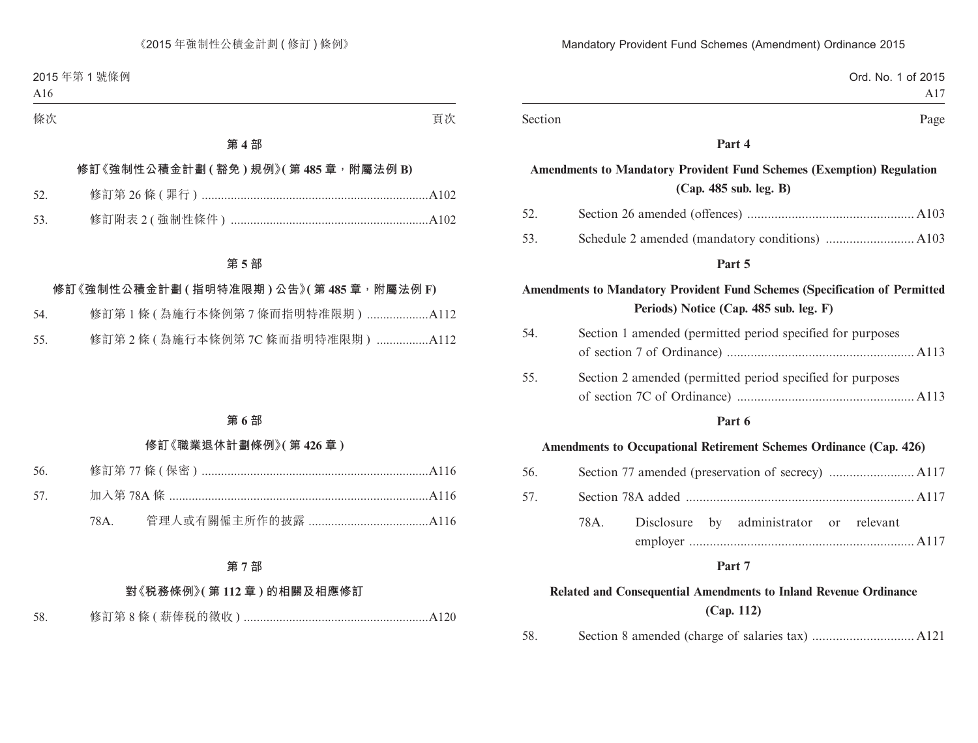|         | Mandatory Provident Fund Schemes (Amendment) Ordinance 2015                  |                    |
|---------|------------------------------------------------------------------------------|--------------------|
|         |                                                                              | Ord. No. 1 of 2015 |
|         |                                                                              | A17                |
| Section |                                                                              | Page               |
|         | Part 4                                                                       |                    |
|         | <b>Amendments to Mandatory Provident Fund Schemes (Exemption) Regulation</b> |                    |

# **(Cap. 485 sub. leg. B)**

| 52. |  |
|-----|--|
| 53  |  |

#### **Part 5**

# **Amendments to Mandatory Provident Fund Schemes (Specification of Permitted Periods) Notice (Cap. 485 sub. leg. F)**

| 54. | Section 1 amended (permitted period specified for purposes  |  |  |  |
|-----|-------------------------------------------------------------|--|--|--|
|     |                                                             |  |  |  |
| 55. | Section 2 amended (permitted period specified for purposes) |  |  |  |
|     |                                                             |  |  |  |

#### **Part 6**

#### **Amendments to Occupational Retirement Schemes Ordinance (Cap. 426)**

| 56. |  |  |  |                                              |  |  |
|-----|--|--|--|----------------------------------------------|--|--|
|     |  |  |  |                                              |  |  |
|     |  |  |  | 78A. Disclosure by administrator or relevant |  |  |
|     |  |  |  |                                              |  |  |

#### **Part 7**

# **Related and Consequential Amendments to Inland Revenue Ordinance (Cap. 112)**

| 58. |  |  |  |  |
|-----|--|--|--|--|
|-----|--|--|--|--|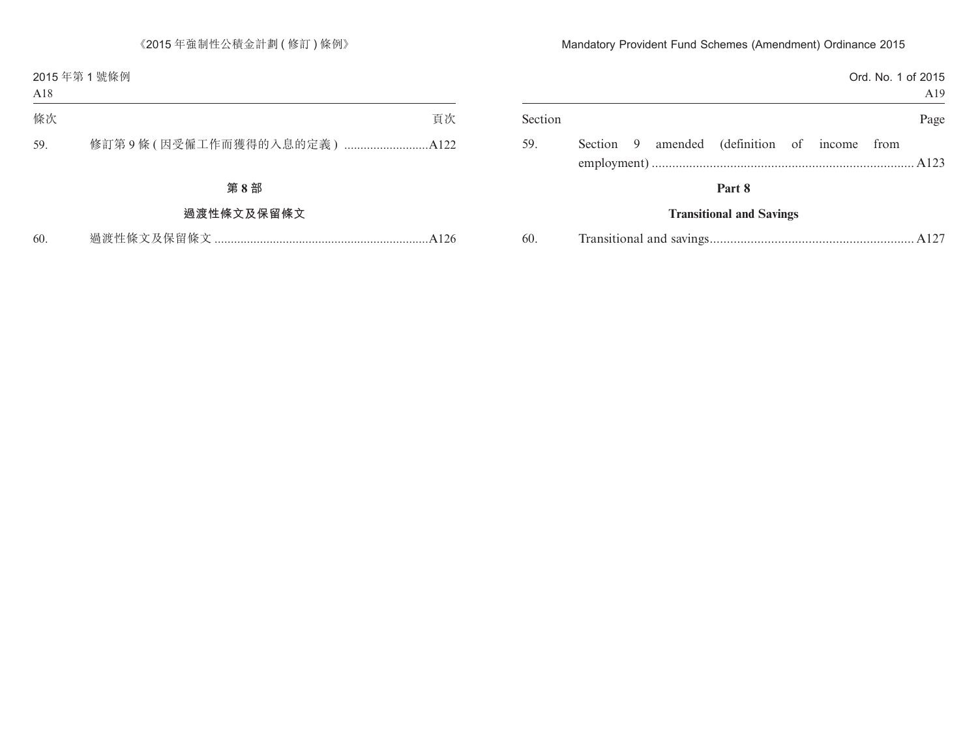|         |  |                                              |  | Ord. No. 1 of 2015 | A19  |
|---------|--|----------------------------------------------|--|--------------------|------|
| Section |  |                                              |  |                    | Page |
| 59.     |  | Section 9 amended (definition of income from |  |                    |      |
|         |  | Part 8                                       |  |                    |      |
|         |  | <b>Transitional and Savings</b>              |  |                    |      |

| 60. |  |  |  |  |  |
|-----|--|--|--|--|--|
|-----|--|--|--|--|--|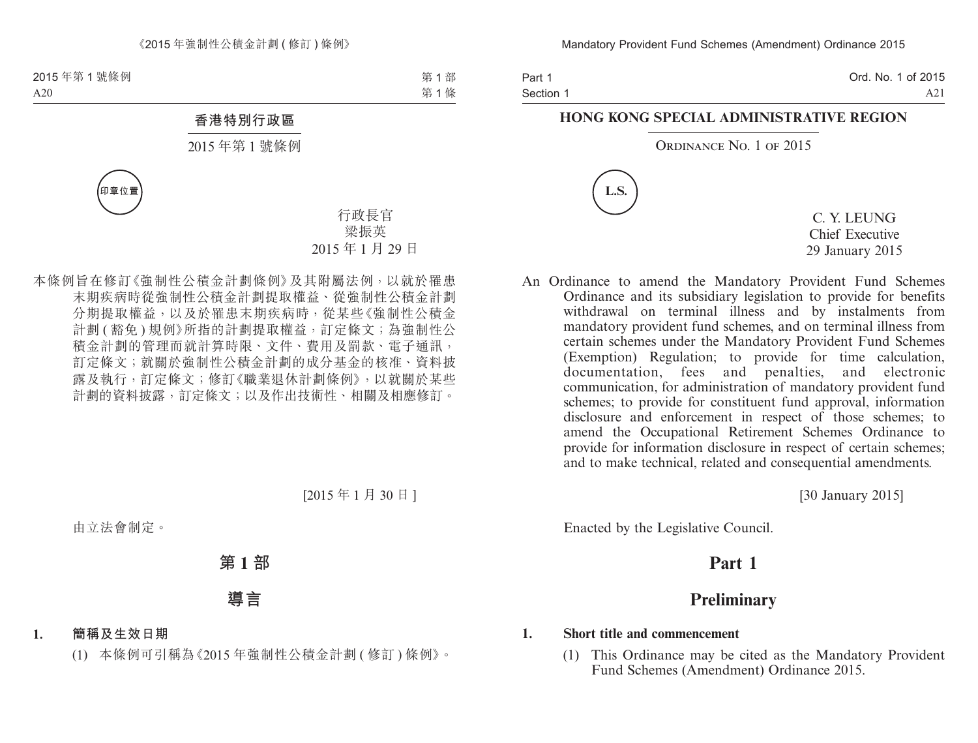Part 1 Section 1 Ord. No. 1 of 2015 A21

#### **HONG KONG SPECIAL ADMINISTRATIVE REGION**

#### ORDINANCE NO. 1 OF 2015



C. Y. LEUNG Chief Executive 29 January 2015

An Ordinance to amend the Mandatory Provident Fund Schemes Ordinance and its subsidiary legislation to provide for benefits withdrawal on terminal illness and by instalments from mandatory provident fund schemes, and on terminal illness from certain schemes under the Mandatory Provident Fund Schemes (Exemption) Regulation; to provide for time calculation, documentation, fees and penalties, and electronic communication, for administration of mandatory provident fund schemes; to provide for constituent fund approval, information disclosure and enforcement in respect of those schemes; to amend the Occupational Retirement Schemes Ordinance to provide for information disclosure in respect of certain schemes; and to make technical, related and consequential amendments.

[30 January 2015]

Enacted by the Legislative Council.

# **Part 1**

# **Preliminary**

#### **1. Short title and commencement**

(1) This Ordinance may be cited as the Mandatory Provident Fund Schemes (Amendment) Ordinance 2015.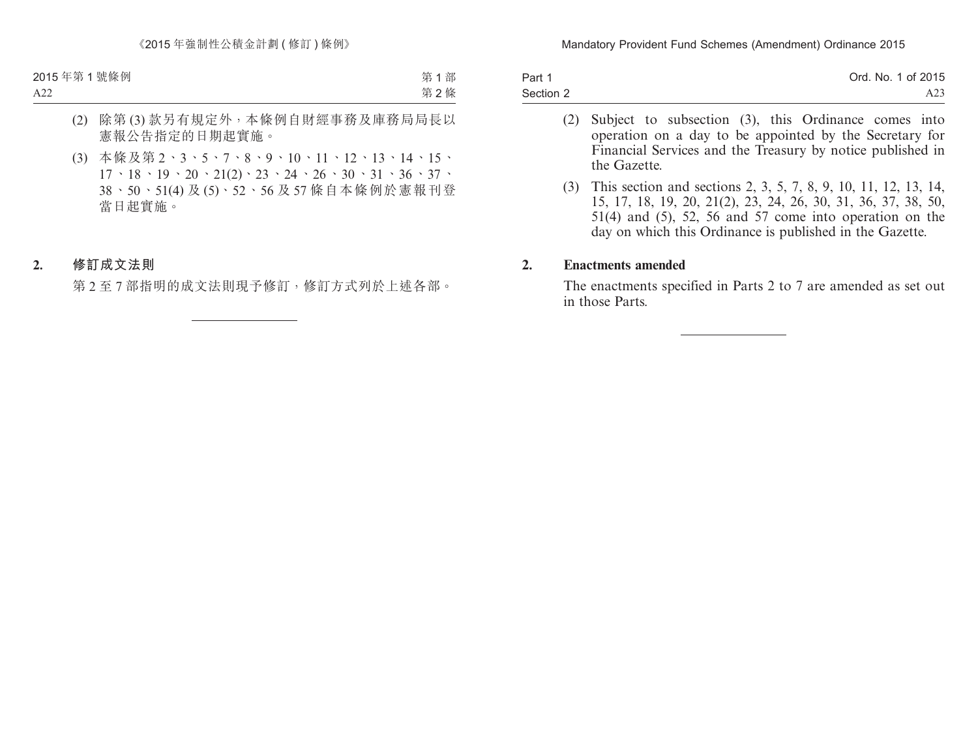| Part 1    | Ord. No. 1 of 2015 |
|-----------|--------------------|
| Section 2 | A23                |

- (2) Subject to subsection (3), this Ordinance comes into operation on a day to be appointed by the Secretary for Financial Services and the Treasury by notice published in the Gazette.
- (3) This section and sections 2, 3, 5, 7, 8, 9, 10, 11, 12, 13, 14, 15, 17, 18, 19, 20, 21(2), 23, 24, 26, 30, 31, 36, 37, 38, 50, 51(4) and (5), 52, 56 and 57 come into operation on the day on which this Ordinance is published in the Gazette.

#### **2. Enactments amended**

The enactments specified in Parts 2 to 7 are amended as set out in those Parts.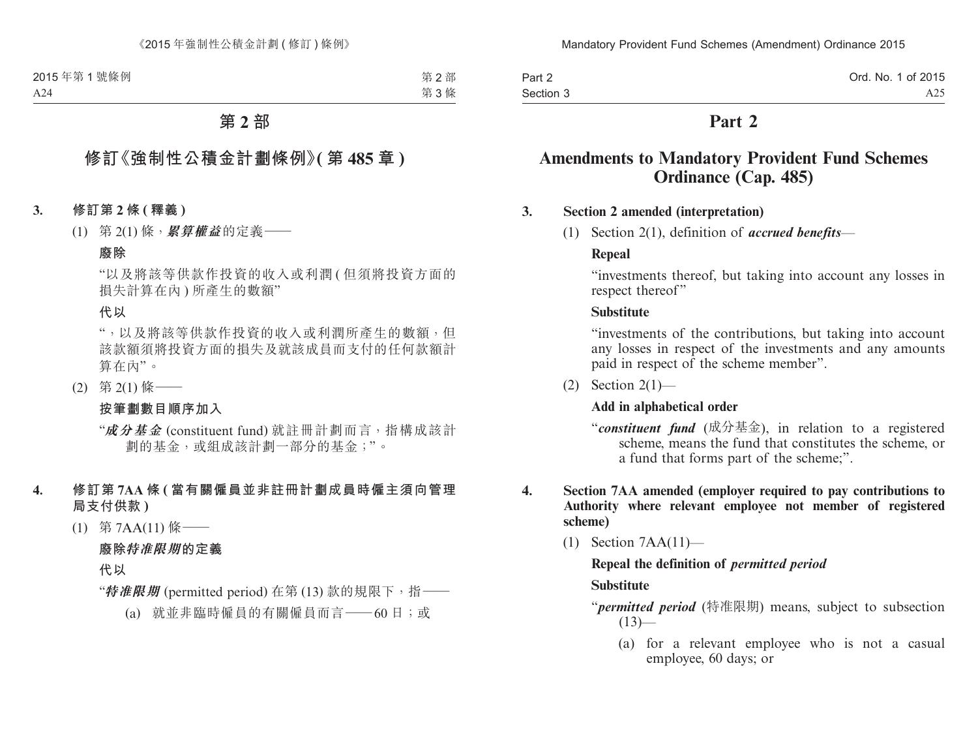| Part 2    | Ord. No. 1 of 2015 |
|-----------|--------------------|
| Section 3 | A25.               |

# **Part 2**

# **Amendments to Mandatory Provident Fund Schemes Ordinance (Cap. 485)**

#### **3. Section 2 amended (interpretation)**

(1) Section 2(1), definition of *accrued benefits*—

#### **Repeal**

"investments thereof, but taking into account any losses in respect thereof"

#### **Substitute**

"investments of the contributions, but taking into account any losses in respect of the investments and any amounts paid in respect of the scheme member".

(2) Section  $2(1)$ —

#### **Add in alphabetical order**

- "*constituent fund* (成分基金), in relation to a registered scheme, means the fund that constitutes the scheme, or a fund that forms part of the scheme;".
- **4. Section 7AA amended (employer required to pay contributions to Authority where relevant employee not member of registered scheme)**
	- (1) Section 7AA(11)—

#### **Repeal the definition of** *permitted period* **Substitute**

"*permitted period* (特准限期) means, subject to subsection  $(13)$ —

(a) for a relevant employee who is not a casual employee, 60 days; or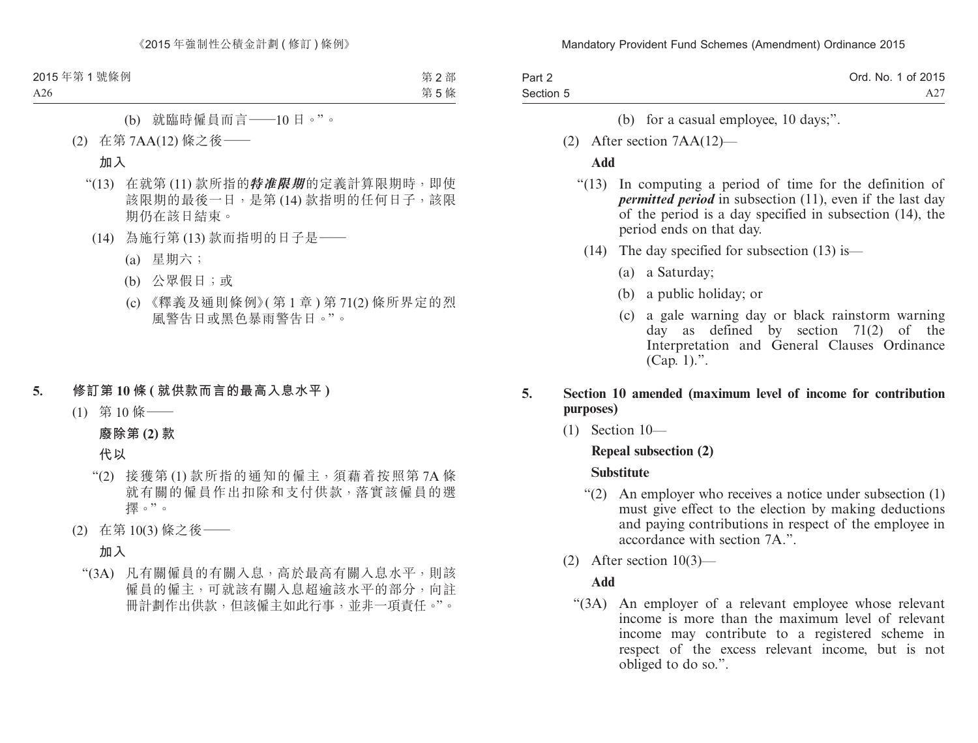| Part 2    | Ord. No. 1 of 2015 |
|-----------|--------------------|
| Section 5 |                    |

- (b) for a casual employee, 10 days;".
- (2) After section 7AA(12)—

#### **Add**

- "(13) In computing a period of time for the definition of *permitted period* in subsection (11), even if the last day of the period is a day specified in subsection (14), the period ends on that day.
	- (14) The day specified for subsection (13) is—
		- (a) a Saturday;
		- (b) a public holiday; or
		- (c) a gale warning day or black rainstorm warning day as defined by section 71(2) of the Interpretation and General Clauses Ordinance  $(Cap. 1)$ .".

#### **5. Section 10 amended (maximum level of income for contribution purposes)**

(1) Section 10—

#### **Repeal subsection (2)**

#### **Substitute**

- "(2) An employer who receives a notice under subsection (1) must give effect to the election by making deductions and paying contributions in respect of the employee in accordance with section 7A."
- (2) After section 10(3)—

#### **Add**

"(3A) An employer of a relevant employee whose relevant income is more than the maximum level of relevant income may contribute to a registered scheme in respect of the excess relevant income, but is not obliged to do so.".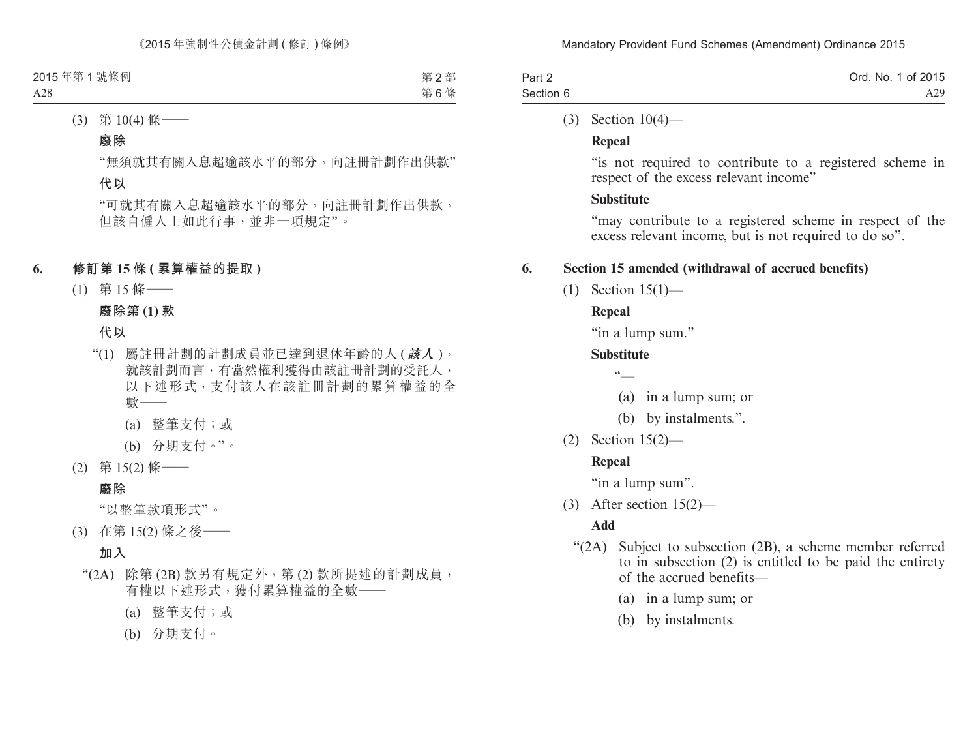| Part 2    | Ord. No. 1 of 2015 |
|-----------|--------------------|
| Section 6 | A29                |

#### (3) Section 10(4)—

#### **Repeal**

"is not required to contribute to a registered scheme in respect of the excess relevant income"

### **Substitute**

"may contribute to a registered scheme in respect of the excess relevant income, but is not required to do so".

### **6. Section 15 amended (withdrawal of accrued benefits)**

(1) Section 15(1)—

# **Repeal**

"in a lump sum."

# **Substitute**

 $\sqrt{6}$ 

- (a) in a lump sum; or
- (b) by instalments.".
- (2) Section 15(2)—

# **Repeal**

"in a lump sum".

(3) After section 15(2)—

# **Add**

- "(2A) Subject to subsection (2B), a scheme member referred to in subsection (2) is entitled to be paid the entirety of the accrued benefits—
	- (a) in a lump sum; or
	- (b) by instalments.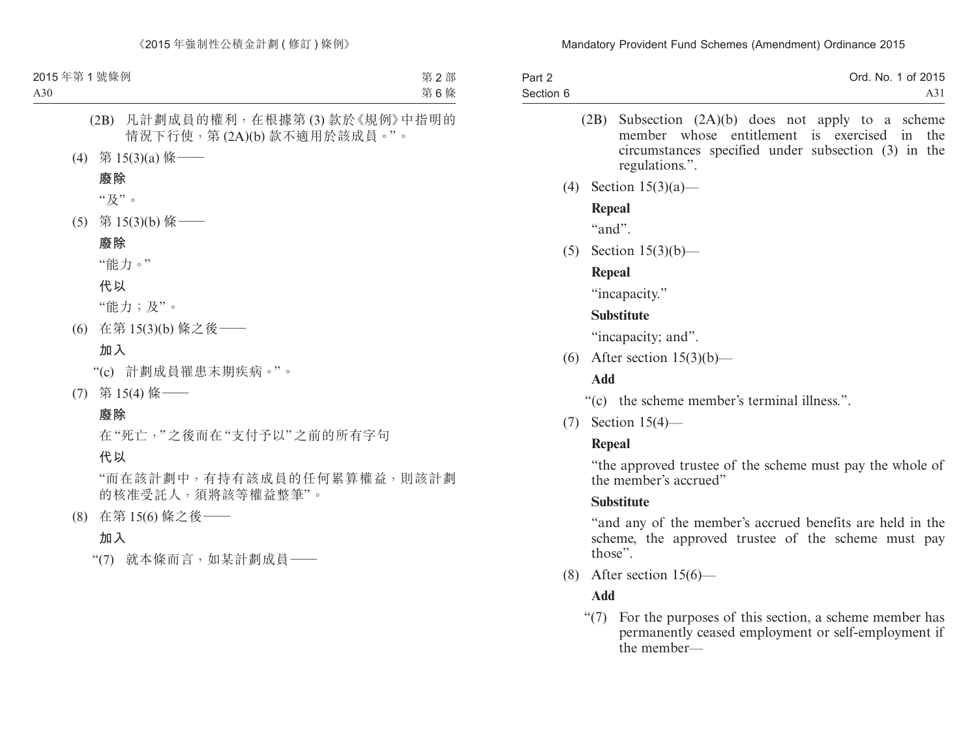| Part 2    | Ord. No. 1 of 2015 |
|-----------|--------------------|
| Section 6 | A31                |

- (2B) Subsection (2A)(b) does not apply to a scheme member whose entitlement is exercised in the circumstances specified under subsection (3) in the regulations.".
- (4) Section 15(3)(a)—

#### **Repeal**

"and".

(5) Section 15(3)(b)—

### **Repeal**

"incapacity."

### **Substitute**

"incapacity; and".

(6) After section  $15(3)(b)$ —

# **Add**

"(c) the scheme member's terminal illness.".

(7) Section 15(4)—

# **Repeal**

"the approved trustee of the scheme must pay the whole of the member's accrued"

# **Substitute**

"and any of the member's accrued benefits are held in the scheme, the approved trustee of the scheme must pay those".

(8) After section 15(6)—

# **Add**

"(7) For the purposes of this section, a scheme member has permanently ceased employment or self-employment if the member—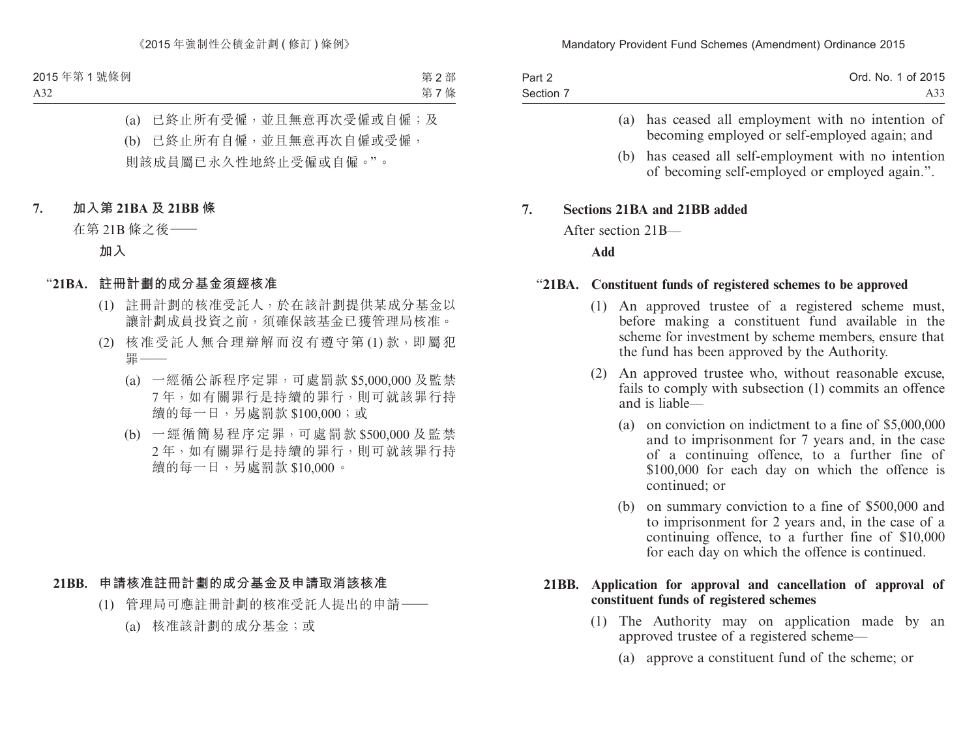| Part 2    | Ord. No. 1 of 2015 |
|-----------|--------------------|
| Section 7 | A33                |

- (a) has ceased all employment with no intention of becoming employed or self-employed again; and
- (b) has ceased all self-employment with no intention of becoming self-employed or employed again.".

#### **7. Sections 21BA and 21BB added**

After section 21B—

**Add**

#### "**21BA. Constituent funds of registered schemes to be approved**

- (1) An approved trustee of a registered scheme must, before making a constituent fund available in the scheme for investment by scheme members, ensure that the fund has been approved by the Authority.
- (2) An approved trustee who, without reasonable excuse, fails to comply with subsection (1) commits an offence and is liable—
	- (a) on conviction on indictment to a fine of \$5,000,000 and to imprisonment for 7 years and, in the case of a continuing offence, to a further fine of \$100,000 for each day on which the offence is continued; or
	- (b) on summary conviction to a fine of \$500,000 and to imprisonment for 2 years and, in the case of a continuing offence, to a further fine of \$10,000 for each day on which the offence is continued.

#### **21BB. Application for approval and cancellation of approval of constituent funds of registered schemes**

- (1) The Authority may on application made by an approved trustee of a registered scheme—
	- (a) approve a constituent fund of the scheme; or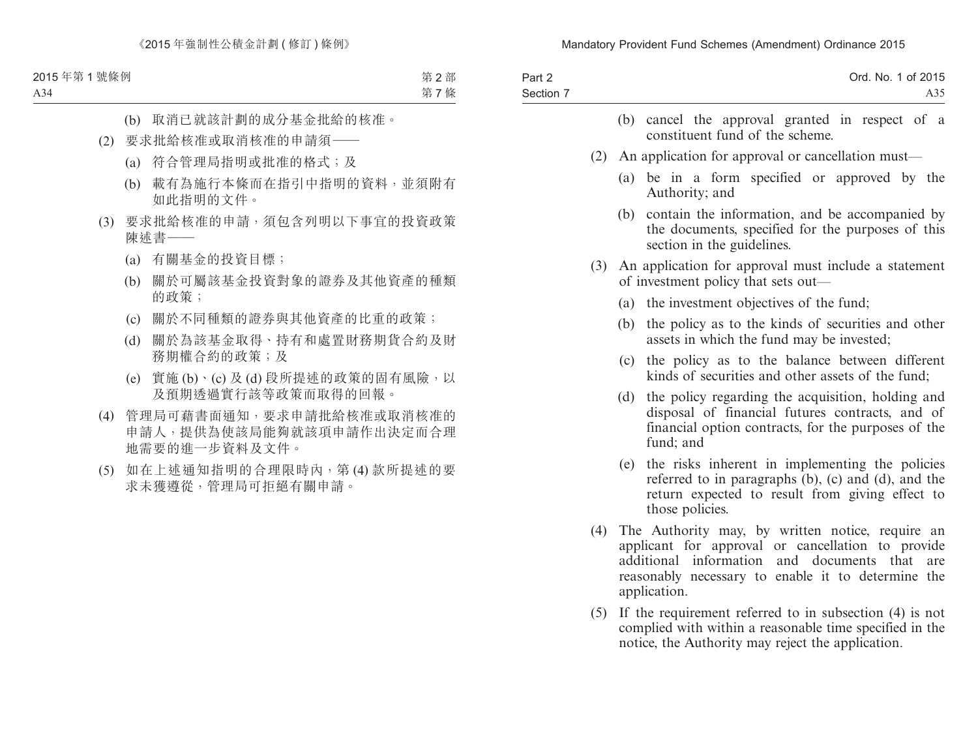| Part 2<br>Section 7 |     | Ord. No. 1 of 2015<br>A35.                                                                                                                                                                                                               |
|---------------------|-----|------------------------------------------------------------------------------------------------------------------------------------------------------------------------------------------------------------------------------------------|
|                     |     | cancel the approval granted in respect of a<br>(b)<br>constituent fund of the scheme.                                                                                                                                                    |
|                     | (2) | An application for approval or cancellation must—                                                                                                                                                                                        |
|                     |     | (a) be in a form specified or approved by the<br>Authority; and                                                                                                                                                                          |
|                     |     | contain the information, and be accompanied by<br>(b)<br>the documents, specified for the purposes of this<br>section in the guidelines.                                                                                                 |
|                     | (3) | An application for approval must include a statement<br>of investment policy that sets out—                                                                                                                                              |
|                     |     | (a) the investment objectives of the fund;                                                                                                                                                                                               |
|                     |     | the policy as to the kinds of securities and other<br>(b)<br>assets in which the fund may be invested;                                                                                                                                   |
|                     |     | the policy as to the balance between different<br>(c)<br>kinds of securities and other assets of the fund;                                                                                                                               |
|                     |     | the policy regarding the acquisition, holding and<br>(d)<br>disposal of financial futures contracts, and of<br>financial option contracts, for the purposes of the<br>fund; and                                                          |
|                     |     | the risks inherent in implementing the policies<br>(e)<br>referred to in paragraphs $(b)$ , $(c)$ and $(d)$ , and the<br>return expected to result from giving effect to<br>those policies.                                              |
|                     | (4) | The Authority may, by written notice, require an<br>applicant for approval or cancellation to provide<br>information<br>and documents<br>additional<br>that<br>are<br>reasonably necessary to enable it to determine the<br>application. |
|                     | (5) | If the requirement referred to in subsection $(4)$ is not<br>complied with within a reasonable time specified in the<br>notice, the Authority may reject the application.                                                                |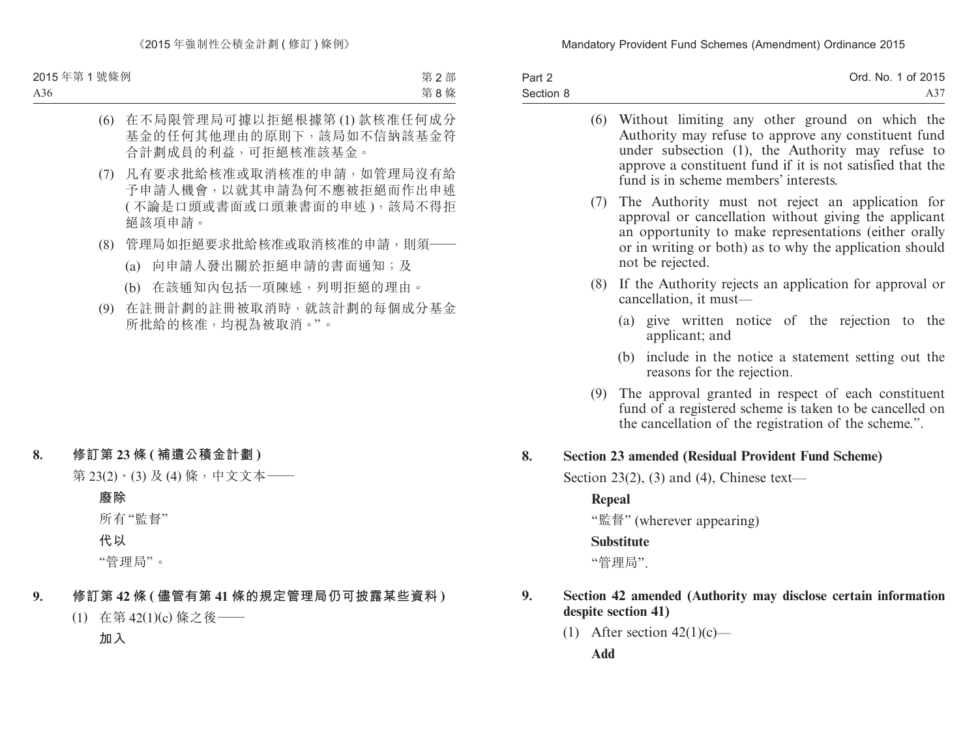| Part 2    | Ord. No. 1 of 2015 |
|-----------|--------------------|
| Section 8 |                    |

|    | (6)    | Without limiting any other ground on which the<br>Authority may refuse to approve any constituent fund<br>under subsection (1), the Authority may refuse to<br>approve a constituent fund if it is not satisfied that the<br>fund is in scheme members' interests. |
|----|--------|--------------------------------------------------------------------------------------------------------------------------------------------------------------------------------------------------------------------------------------------------------------------|
|    | (7)    | The Authority must not reject an application for<br>approval or cancellation without giving the applicant<br>an opportunity to make representations (either orally<br>or in writing or both) as to why the application should<br>not be rejected.                  |
|    | (8)    | If the Authority rejects an application for approval or<br>cancellation, it must—                                                                                                                                                                                  |
|    |        | (a) give written notice of the rejection to the<br>applicant; and                                                                                                                                                                                                  |
|    |        | include in the notice a statement setting out the<br>(b)<br>reasons for the rejection.                                                                                                                                                                             |
|    | (9)    | The approval granted in respect of each constituent<br>fund of a registered scheme is taken to be cancelled on<br>the cancellation of the registration of the scheme.".                                                                                            |
| 8. |        | <b>Section 23 amended (Residual Provident Fund Scheme)</b>                                                                                                                                                                                                         |
|    |        | Section 23(2), (3) and (4), Chinese text—                                                                                                                                                                                                                          |
|    | Repeal |                                                                                                                                                                                                                                                                    |
|    |        | "監督" (wherever appearing)                                                                                                                                                                                                                                          |
|    |        | <b>Substitute</b>                                                                                                                                                                                                                                                  |
|    |        | "管理局".                                                                                                                                                                                                                                                             |
| 9. |        | Section 42 amended (Authority may disclose certain information<br>despite section 41)                                                                                                                                                                              |
|    |        |                                                                                                                                                                                                                                                                    |

(1) After section  $42(1)(c)$ —

**Add**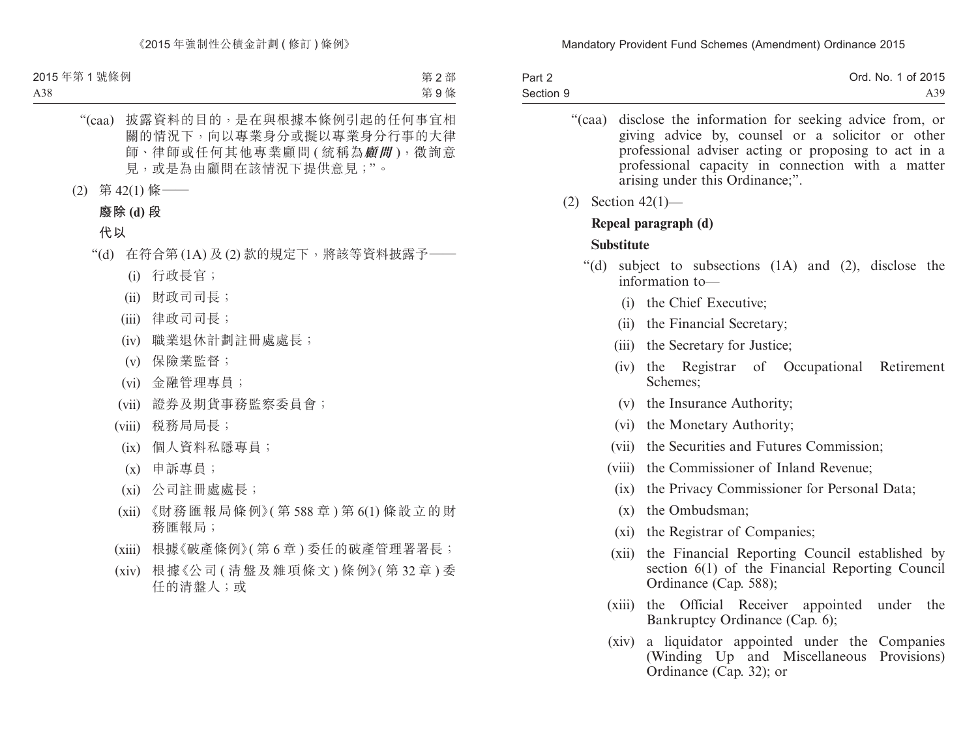| Part 2    | Ord. No. 1 of 2015 |
|-----------|--------------------|
| Section 9 | A39.               |

- "(caa) disclose the information for seeking advice from, or giving advice by, counsel or a solicitor or other professional adviser acting or proposing to act in a professional capacity in connection with a matter arising under this Ordinance;".
- (2) Section 42(1)—

#### **Repeal paragraph (d)**

#### **Substitute**

- "(d) subject to subsections (1A) and (2), disclose the information to—
	- (i) the Chief Executive;
	- (ii) the Financial Secretary;
	- (iii) the Secretary for Justice;
	- (iv) the Registrar of Occupational Retirement Schemes;
	- (v) the Insurance Authority;
	- (vi) the Monetary Authority;
	- (vii) the Securities and Futures Commission;
	- (viii) the Commissioner of Inland Revenue;
		- (ix) the Privacy Commissioner for Personal Data;
		- (x) the Ombudsman;
		- (xi) the Registrar of Companies;
	- (xii) the Financial Reporting Council established by section 6(1) of the Financial Reporting Council Ordinance (Cap. 588);
	- (xiii) the Official Receiver appointed under the Bankruptcy Ordinance (Cap. 6);
	- (xiv) a liquidator appointed under the Companies (Winding Up and Miscellaneous Provisions) Ordinance (Cap. 32); or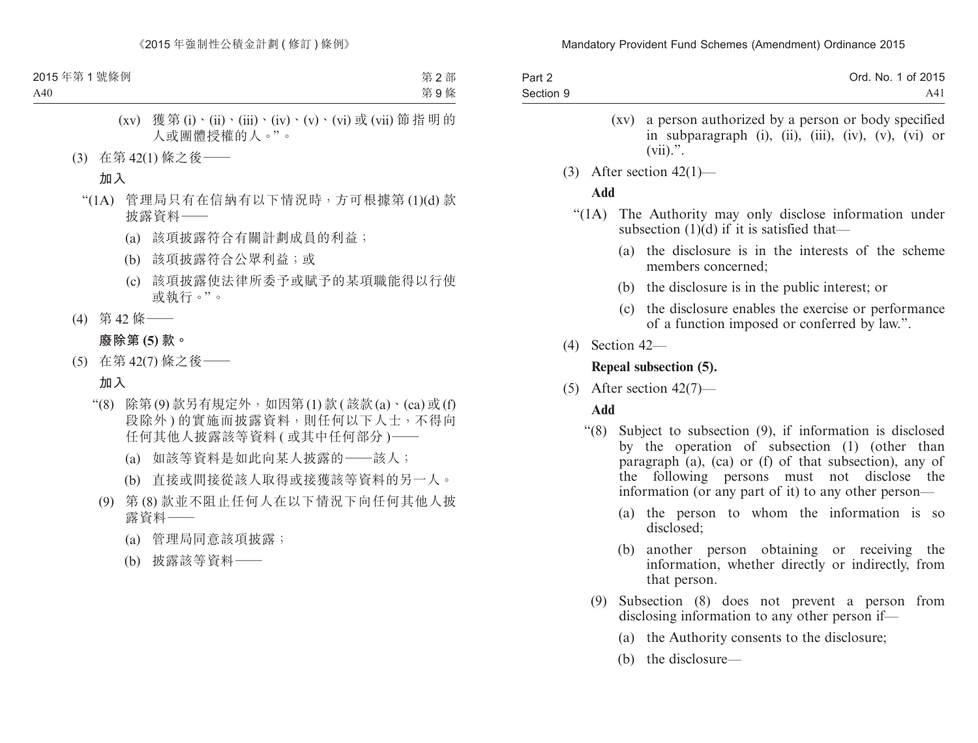| Part 2    | Ord. No. 1 of 2015 |
|-----------|--------------------|
| Section 9 | A4 <sub>1</sub>    |

- (xv) a person authorized by a person or body specified in subparagraph (i), (ii), (iii), (iv), (v), (vi) or  $(vii).$ ".
- (3) After section  $42(1)$ —

### **Add**

- "(1A) The Authority may only disclose information under subsection  $(1)(d)$  if it is satisfied that—
	- (a) the disclosure is in the interests of the scheme members concerned;
	- (b) the disclosure is in the public interest; or
	- (c) the disclosure enables the exercise or performance of a function imposed or conferred by law.".
- (4) Section 42—

# **Repeal subsection (5).**

(5) After section  $42(7)$ —

# **Add**

- "(8) Subject to subsection (9), if information is disclosed by the operation of subsection (1) (other than paragraph (a), (ca) or (f) of that subsection), any of the following persons must not disclose the information (or any part of it) to any other person—
	- (a) the person to whom the information is so disclosed;
	- (b) another person obtaining or receiving the information, whether directly or indirectly, from that person.
	- (9) Subsection (8) does not prevent a person from disclosing information to any other person if—
		- (a) the Authority consents to the disclosure;
		- (b) the disclosure—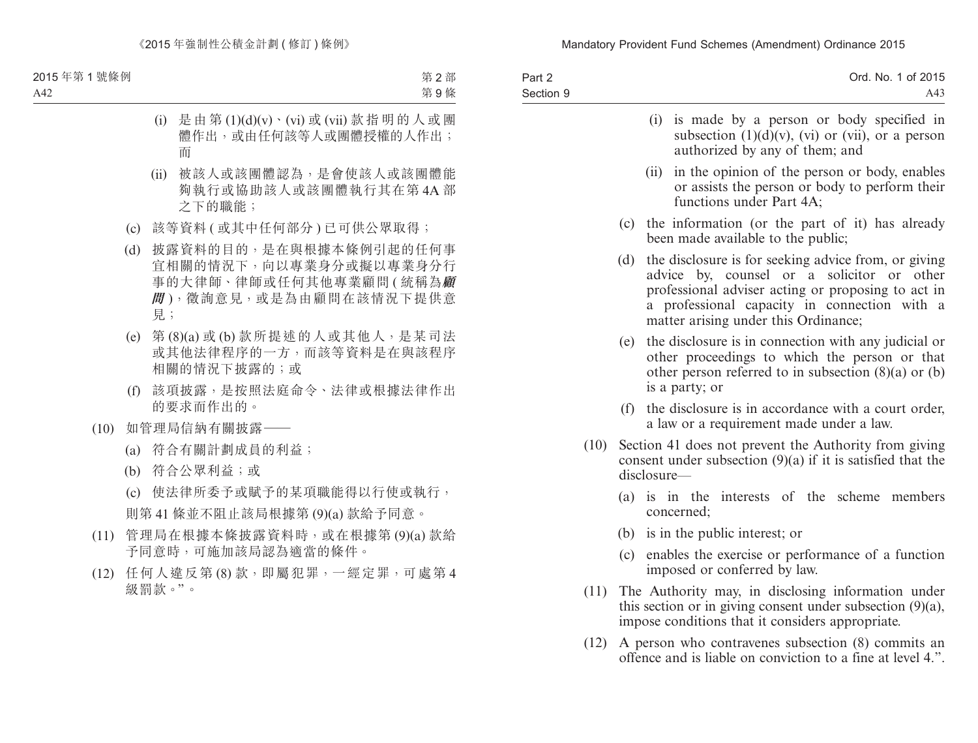| Part 2<br>Section 9 |     | Ord. No. 1 of 2015<br>A43                                                                                                                                                                                                                        |
|---------------------|-----|--------------------------------------------------------------------------------------------------------------------------------------------------------------------------------------------------------------------------------------------------|
|                     |     | is made by a person or body specified in<br>(i)<br>subsection $(1)(d)(v)$ , $(vi)$ or $(vii)$ , or a person<br>authorized by any of them; and                                                                                                    |
|                     |     | in the opinion of the person or body, enables<br>(ii)<br>or assists the person or body to perform their<br>functions under Part 4A;                                                                                                              |
|                     |     | (c) the information (or the part of it) has already<br>been made available to the public;                                                                                                                                                        |
|                     | (d) | the disclosure is for seeking advice from, or giving<br>advice by, counsel or a solicitor or other<br>professional adviser acting or proposing to act in<br>a professional capacity in connection with a<br>matter arising under this Ordinance; |
|                     | (e) | the disclosure is in connection with any judicial or<br>other proceedings to which the person or that<br>other person referred to in subsection $(8)(a)$ or $(b)$<br>is a party; or                                                              |
|                     | (f) | the disclosure is in accordance with a court order,<br>a law or a requirement made under a law.                                                                                                                                                  |
| (10)                |     | Section 41 does not prevent the Authority from giving<br>consent under subsection $(9)(a)$ if it is satisfied that the<br>disclosure-                                                                                                            |
|                     |     | (a) is in the interests of the scheme members<br>concerned;                                                                                                                                                                                      |
|                     |     | (b) is in the public interest; or                                                                                                                                                                                                                |
|                     | (c) | enables the exercise or performance of a function<br>imposed or conferred by law.                                                                                                                                                                |
| (11)                |     | The Authority may, in disclosing information under                                                                                                                                                                                               |

- this section or in giving consent under subsection (9)(a), impose conditions that it considers appropriate.
- (12) A person who contravenes subsection (8) commits an offence and is liable on conviction to a fine at level 4.".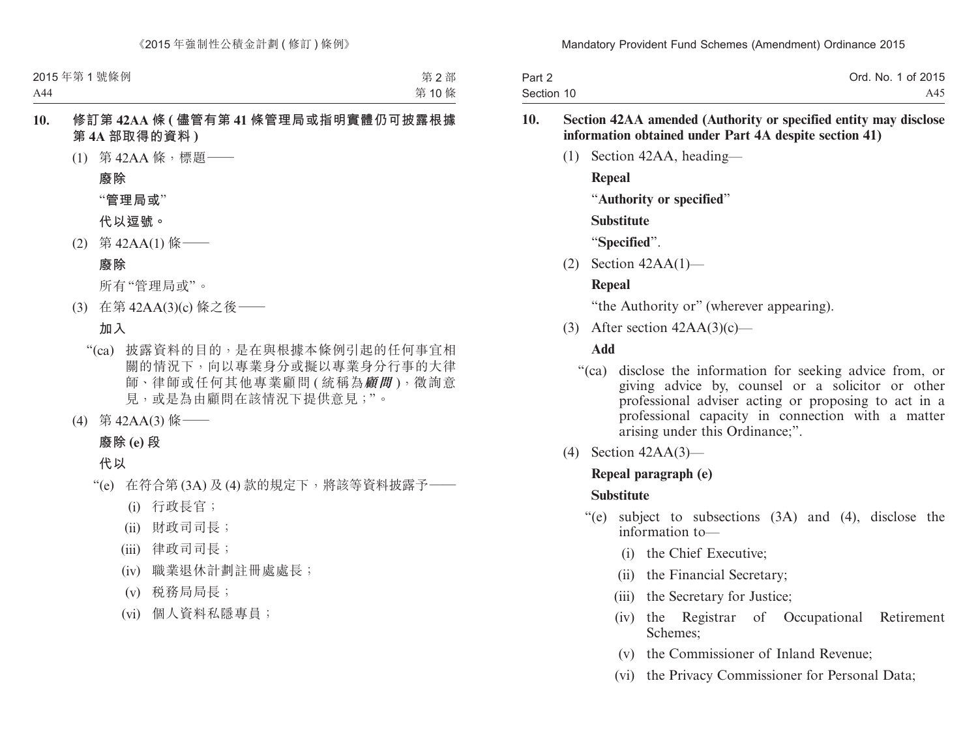| Part 2     | Ord. No. 1 of 2015 |
|------------|--------------------|
| Section 10 | A45                |

#### **10. Section 42AA amended (Authority or specified entity may disclose information obtained under Part 4A despite section 41)**

(1) Section 42AA, heading—

**Repeal**

"**Authority or specified**"

**Substitute**

"**Specified**".

(2) Section 42AA(1)—

### **Repeal**

"the Authority or" (wherever appearing).

(3) After section  $42AA(3)(c)$ —

### **Add**

- "(ca) disclose the information for seeking advice from, or giving advice by, counsel or a solicitor or other professional adviser acting or proposing to act in a professional capacity in connection with a matter arising under this Ordinance;".
- (4) Section 42AA(3)—

### **Repeal paragraph (e)**

### **Substitute**

- "(e) subject to subsections (3A) and (4), disclose the information to—
	- (i) the Chief Executive;
	- (ii) the Financial Secretary;
	- (iii) the Secretary for Justice;
	- (iv) the Registrar of Occupational Retirement Schemes;
	- (v) the Commissioner of Inland Revenue;
	- (vi) the Privacy Commissioner for Personal Data;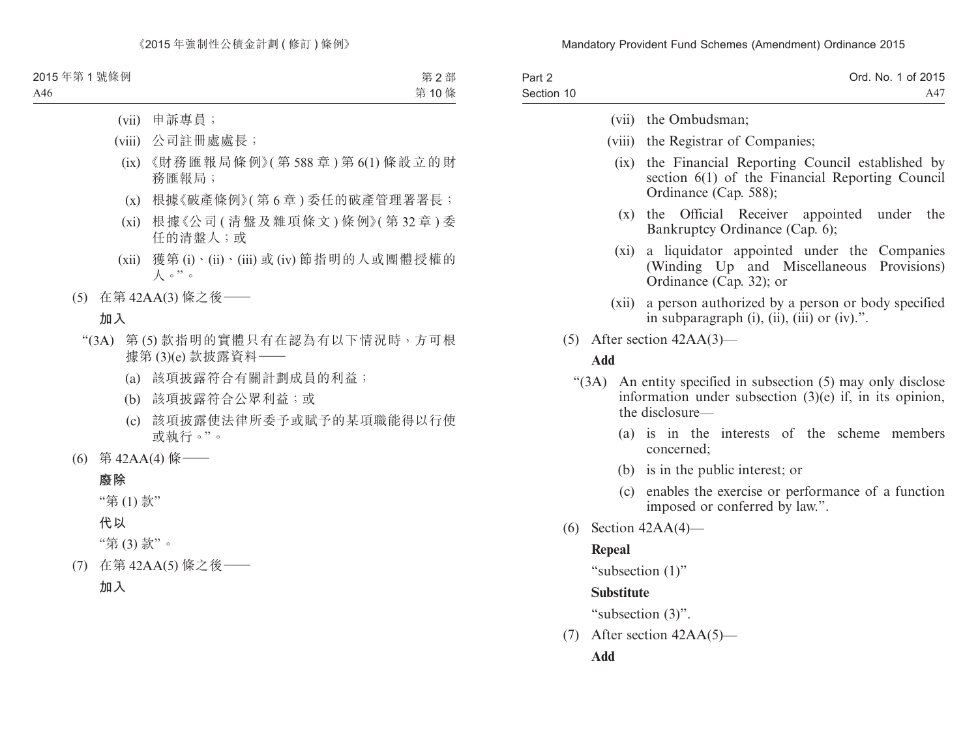| Part 2     |                      | Ord. No. 1 of 2015 |
|------------|----------------------|--------------------|
| Section 10 |                      | A47                |
|            | (vii) the Ombudsman; |                    |

- (viii) the Registrar of Companies;
	- (ix) the Financial Reporting Council established by section 6(1) of the Financial Reporting Council Ordinance (Cap. 588);
		- (x) the Official Receiver appointed under the Bankruptcy Ordinance (Cap. 6);
	- (xi) a liquidator appointed under the Companies (Winding Up and Miscellaneous Provisions) Ordinance (Cap. 32); or
- (xii) a person authorized by a person or body specified in subparagraph  $(i)$ ,  $(ii)$ ,  $(iii)$  or  $(iv)$ .".
- (5) After section 42AA(3)—

#### **Add**

- "(3A) An entity specified in subsection (5) may only disclose information under subsection (3)(e) if, in its opinion, the disclosure—
	- (a) is in the interests of the scheme members concerned;
	- (b) is in the public interest; or
	- (c) enables the exercise or performance of a function imposed or conferred by law.".
- (6) Section 42AA(4)—

#### **Repeal**

```
"subsection (1)"
```
#### **Substitute**

"subsection (3)".

(7) After section 42AA(5)—

#### **Add**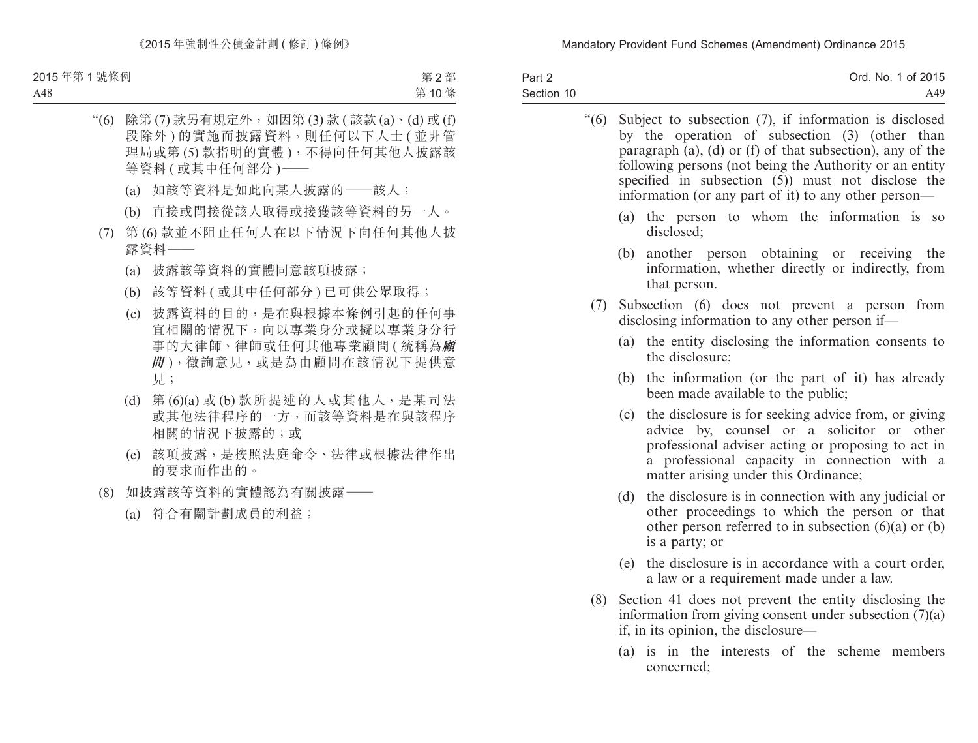| Part 2     | Ord. No. 1 of 2015 |
|------------|--------------------|
| Section 10 | A49.               |

"(6) Subject to subsection (7), if information is disclosed by the operation of subsection (3) (other than paragraph  $(a)$ ,  $(d)$  or  $(f)$  of that subsection), any of the following persons (not being the Authority or an entity specified in subsection  $(5)$  must not disclose the information (or any part of it) to any other person—

- (a) the person to whom the information is so disclosed;
- (b) another person obtaining or receiving the information, whether directly or indirectly, from that person.
- (7) Subsection (6) does not prevent a person from disclosing information to any other person if—
	- (a) the entity disclosing the information consents to the disclosure;
	- (b) the information (or the part of it) has already been made available to the public;
	- (c) the disclosure is for seeking advice from, or giving advice by, counsel or a solicitor or other professional adviser acting or proposing to act in a professional capacity in connection with a matter arising under this Ordinance;
	- (d) the disclosure is in connection with any judicial or other proceedings to which the person or that other person referred to in subsection  $(6)(a)$  or  $(b)$ is a party; or
	- (e) the disclosure is in accordance with a court order, a law or a requirement made under a law.
- (8) Section 41 does not prevent the entity disclosing the information from giving consent under subsection (7)(a) if, in its opinion, the disclosure—
	- (a) is in the interests of the scheme members concerned;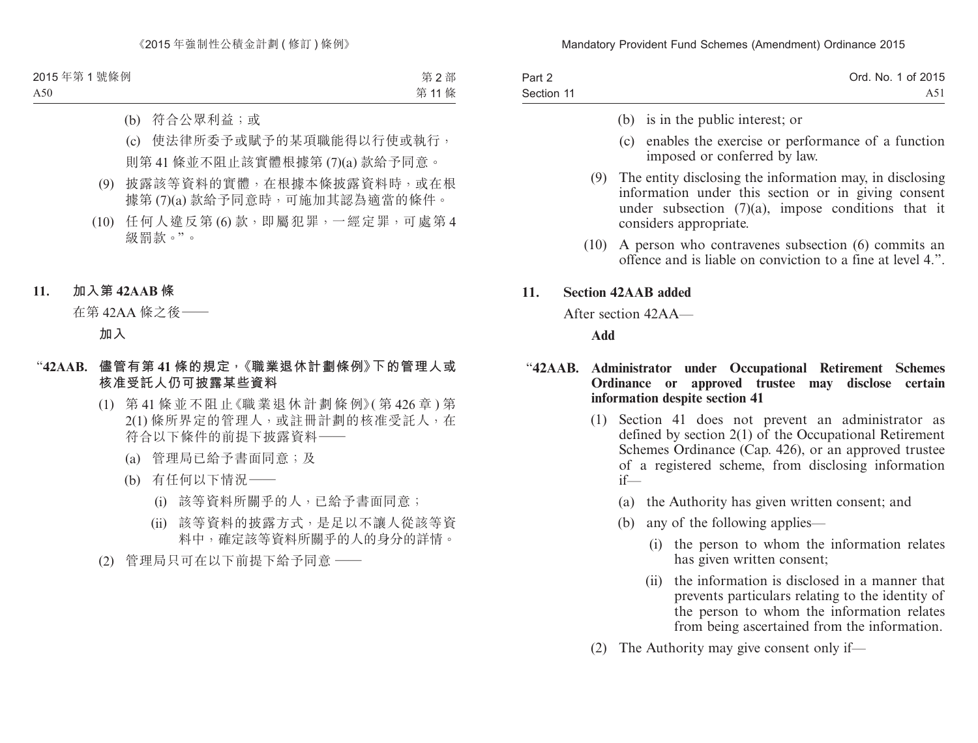| Part 2     | Ord. No. 1 of 2015 |
|------------|--------------------|
| Section 11 | A51.               |

- (b) is in the public interest; or
- (c) enables the exercise or performance of a function imposed or conferred by law.
- (9) The entity disclosing the information may, in disclosing information under this section or in giving consent under subsection (7)(a), impose conditions that it considers appropriate.
- (10) A person who contravenes subsection (6) commits an offence and is liable on conviction to a fine at level 4.".

#### **11. Section 42AAB added**

After section 42AA—

**Add**

#### "**42AAB. Administrator under Occupational Retirement Schemes Ordinance or approved trustee may disclose certain information despite section 41**

- (1) Section 41 does not prevent an administrator as defined by section 2(1) of the Occupational Retirement Schemes Ordinance (Cap. 426), or an approved trustee of a registered scheme, from disclosing information if—
	- (a) the Authority has given written consent; and
	- (b) any of the following applies—
		- (i) the person to whom the information relates has given written consent;
		- (ii) the information is disclosed in a manner that prevents particulars relating to the identity of the person to whom the information relates from being ascertained from the information.
- (2) The Authority may give consent only if—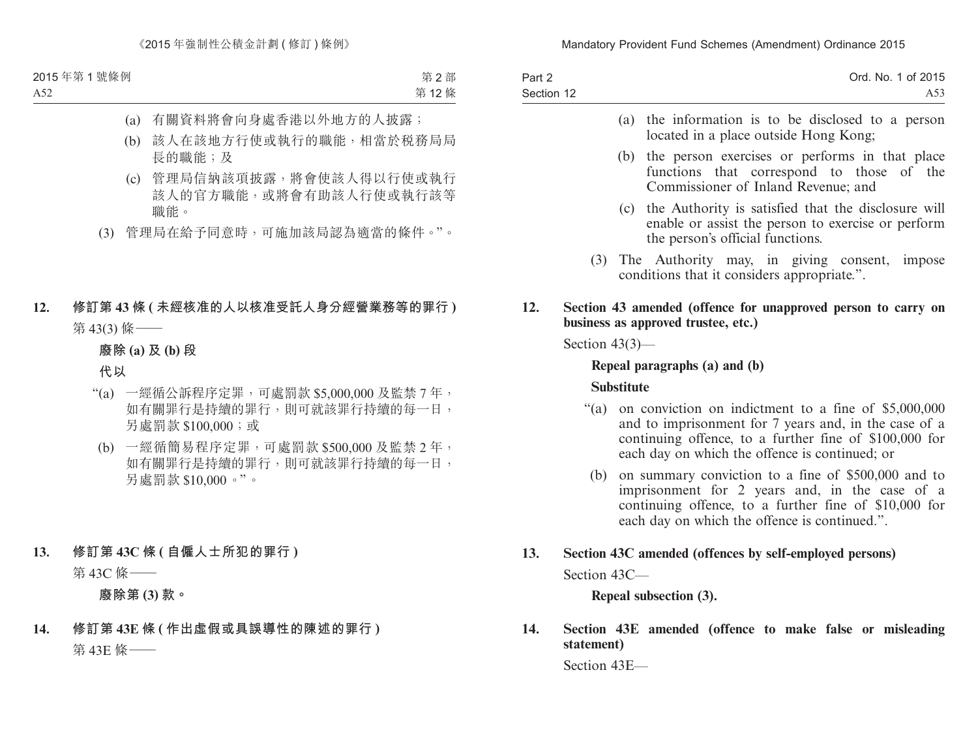| Part 2     | Ord. No. 1 of 2015 |
|------------|--------------------|
| Section 12 | A53                |

- (a) the information is to be disclosed to a person located in a place outside Hong Kong;
- (b) the person exercises or performs in that place functions that correspond to those of the Commissioner of Inland Revenue; and
- (c) the Authority is satisfied that the disclosure will enable or assist the person to exercise or perform the person's official functions.
- (3) The Authority may, in giving consent, impose conditions that it considers appropriate.".

#### **12. Section 43 amended (offence for unapproved person to carry on business as approved trustee, etc.)**

Section 43(3)—

#### **Repeal paragraphs (a) and (b)**

#### **Substitute**

- "(a) on conviction on indictment to a fine of \$5,000,000 and to imprisonment for 7 years and, in the case of a continuing offence, to a further fine of \$100,000 for each day on which the offence is continued; or
	- (b) on summary conviction to a fine of \$500,000 and to imprisonment for 2 years and, in the case of a continuing offence, to a further fine of \$10,000 for each day on which the offence is continued.".

# **13. Section 43C amended (offences by self-employed persons)**

Section 43C—

# **Repeal subsection (3).**

**14. Section 43E amended (offence to make false or misleading statement)**

Section 43E—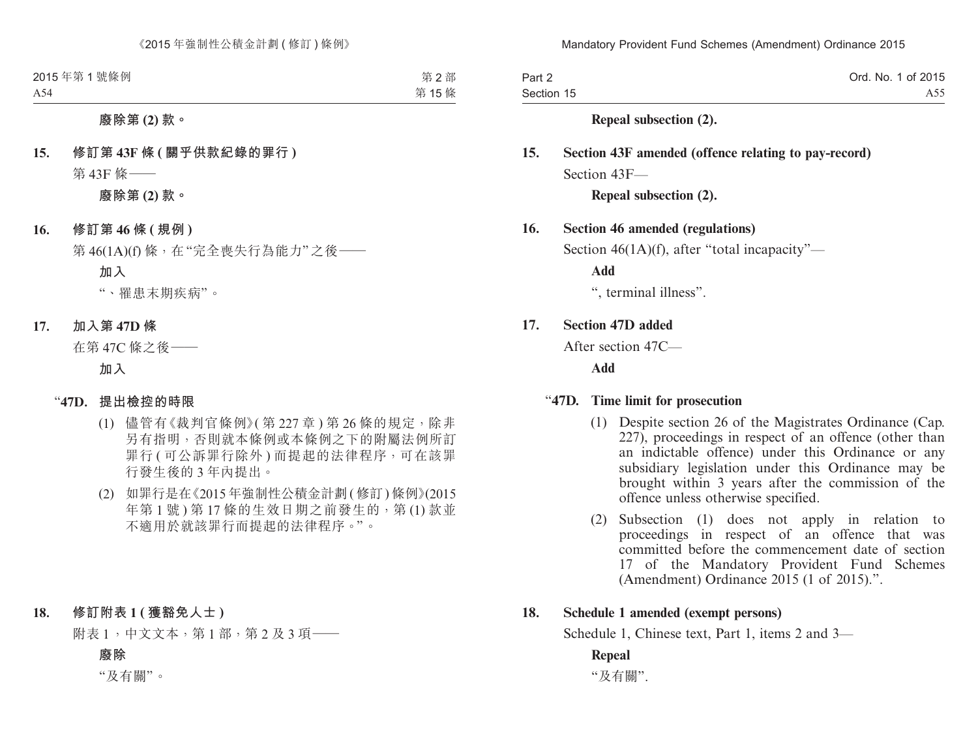| Part 2     | Ord. No. 1 of 2015 |
|------------|--------------------|
| Section 15 | A55.               |

#### **Repeal subsection (2).**

# **15. Section 43F amended (offence relating to pay-record)** Section 43F—

### **Repeal subsection (2).**

#### **16. Section 46 amended (regulations)**

Section 46(1A)(f), after "total incapacity"—

**Add**

", terminal illness".

#### **17. Section 47D added**

After section 47C—

**Add**

#### "**47D. Time limit for prosecution**

- (1) Despite section 26 of the Magistrates Ordinance (Cap. 227), proceedings in respect of an offence (other than an indictable offence) under this Ordinance or any subsidiary legislation under this Ordinance may be brought within 3 years after the commission of the offence unless otherwise specified.
- (2) Subsection (1) does not apply in relation to proceedings in respect of an offence that was committed before the commencement date of section 17 of the Mandatory Provident Fund Schemes (Amendment) Ordinance 2015 (1 of 2015).".

#### **18. Schedule 1 amended (exempt persons)**

Schedule 1, Chinese text, Part 1, items 2 and 3—

#### **Repeal**

"及有關".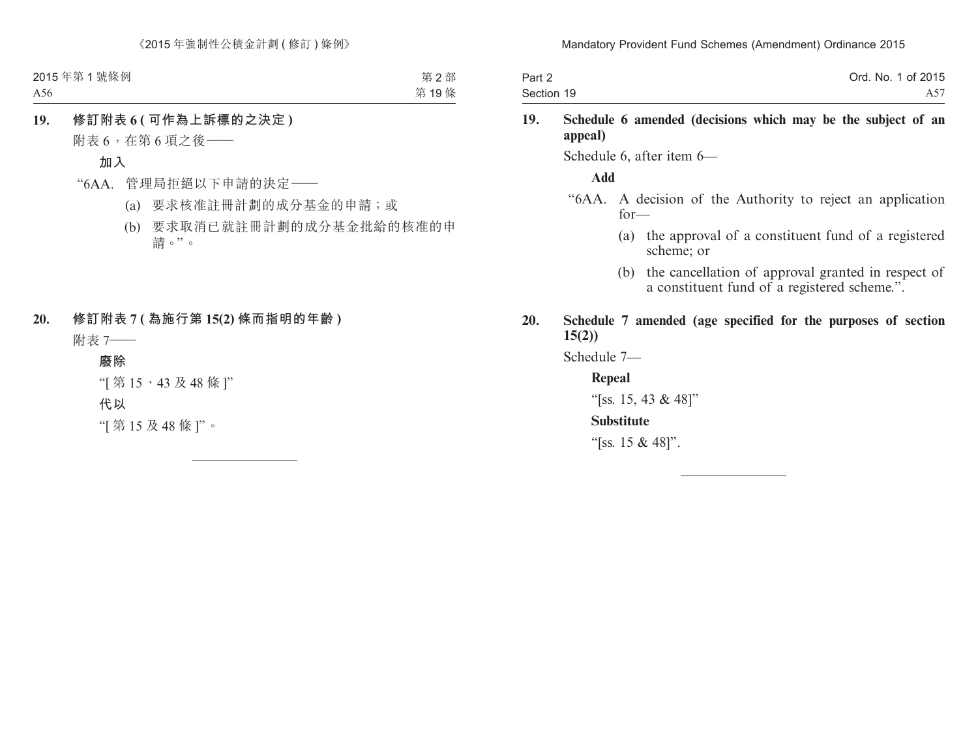| Part 2     | Ord. No. 1 of 2015 |
|------------|--------------------|
| Section 19 | A57.               |

#### **19. Schedule 6 amended (decisions which may be the subject of an appeal)**

Schedule 6, after item 6—

#### **Add**

- "6AA. A decision of the Authority to reject an application for—
	- (a) the approval of a constituent fund of a registered scheme; or
	- (b) the cancellation of approval granted in respect of a constituent fund of a registered scheme.".
- **20. Schedule 7 amended (age specified for the purposes of section 15(2))**

Schedule 7—

#### **Repeal**

"[ss. 15, 43 & 48]"

#### **Substitute**

"[ss. 15 & 48]".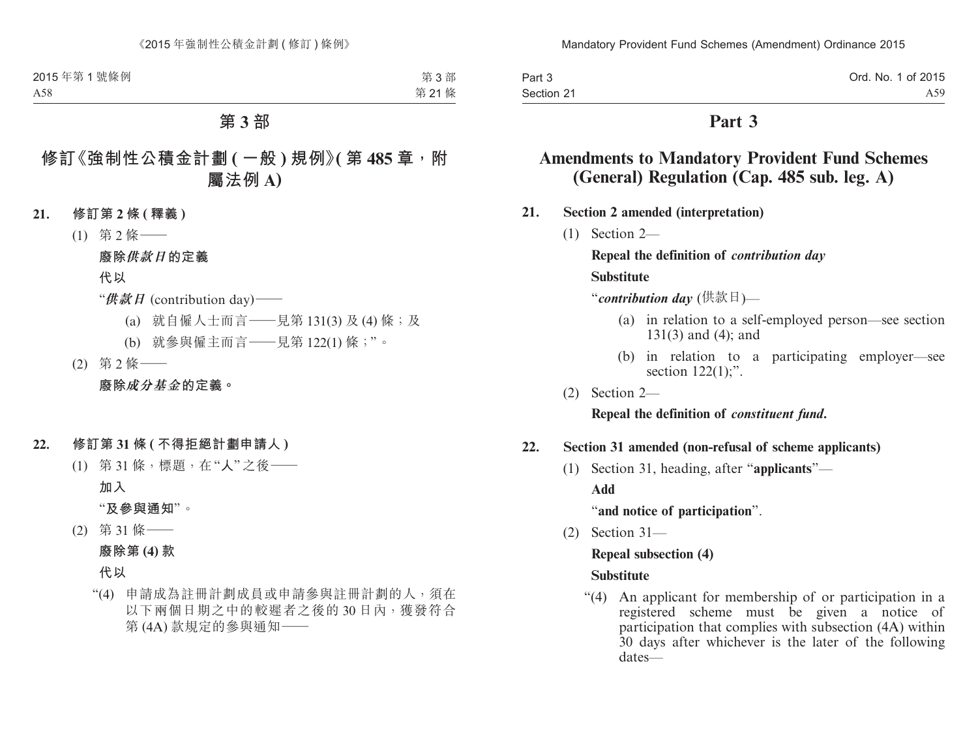| Part 3     | Ord. No. 1 of 2015 |
|------------|--------------------|
| Section 21 | A59.               |

# **Part 3**

# **Amendments to Mandatory Provident Fund Schemes (General) Regulation (Cap. 485 sub. leg. A)**

- **21. Section 2 amended (interpretation)**
	- (1) Section 2—

**Repeal the definition of** *contribution day* **Substitute**

"*contribution day* (供款日)—

- (a) in relation to a self-employed person—see section 131(3) and (4); and
- (b) in relation to a participating employer—see section  $122(1)$ ;".
- (2) Section 2—

**Repeal the definition of** *constituent fund***.**

#### **22. Section 31 amended (non-refusal of scheme applicants)**

(1) Section 31, heading, after "**applicants**"—

**Add**

"**and notice of participation**".

(2) Section 31—

#### **Repeal subsection (4)**

#### **Substitute**

"(4) An applicant for membership of or participation in a registered scheme must be given a notice of participation that complies with subsection (4A) within 30 days after whichever is the later of the following dates—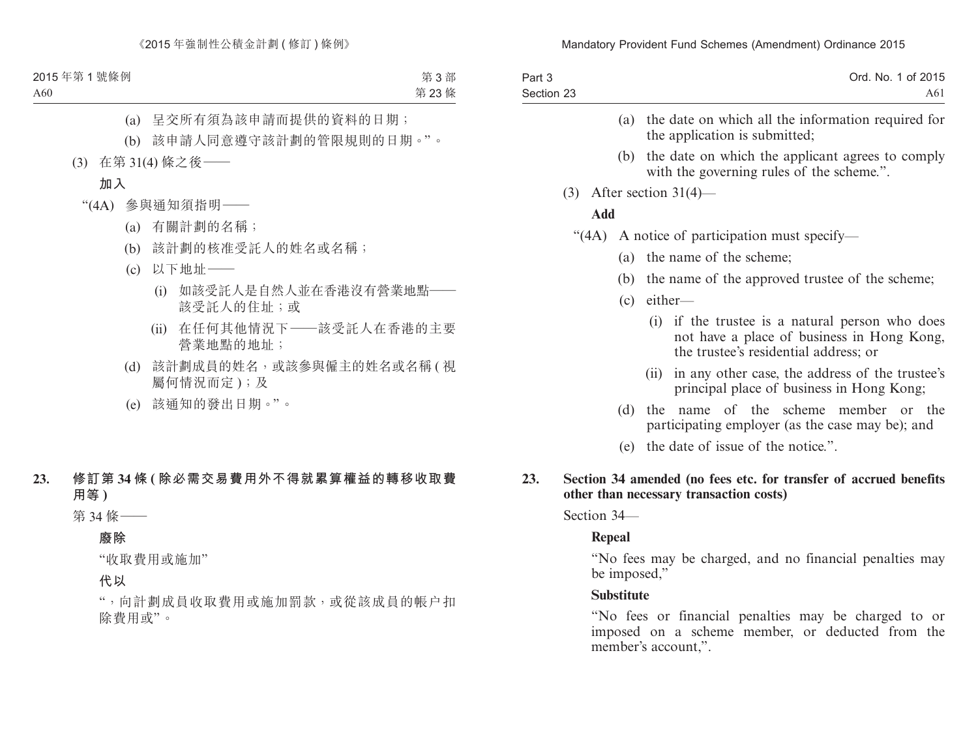| Part 3     | Ord. No. 1 of 2015 |
|------------|--------------------|
| Section 23 | A61                |

- (a) the date on which all the information required for the application is submitted;
- (b) the date on which the applicant agrees to comply with the governing rules of the scheme.".
- (3) After section 31(4)—

### **Add**

- "(4A) A notice of participation must specify—
	- (a) the name of the scheme;
	- (b) the name of the approved trustee of the scheme;
	- (c) either—
		- (i) if the trustee is a natural person who does not have a place of business in Hong Kong, the trustee's residential address; or
		- (ii) in any other case, the address of the trustee's principal place of business in Hong Kong;
	- (d) the name of the scheme member or the participating employer (as the case may be); and
	- (e) the date of issue of the notice.".
- **23. Section 34 amended (no fees etc. for transfer of accrued benefits other than necessary transaction costs)**

Section 34—

### **Repeal**

"No fees may be charged, and no financial penalties may be imposed,"

### **Substitute**

"No fees or financial penalties may be charged to or imposed on a scheme member, or deducted from the member's account,".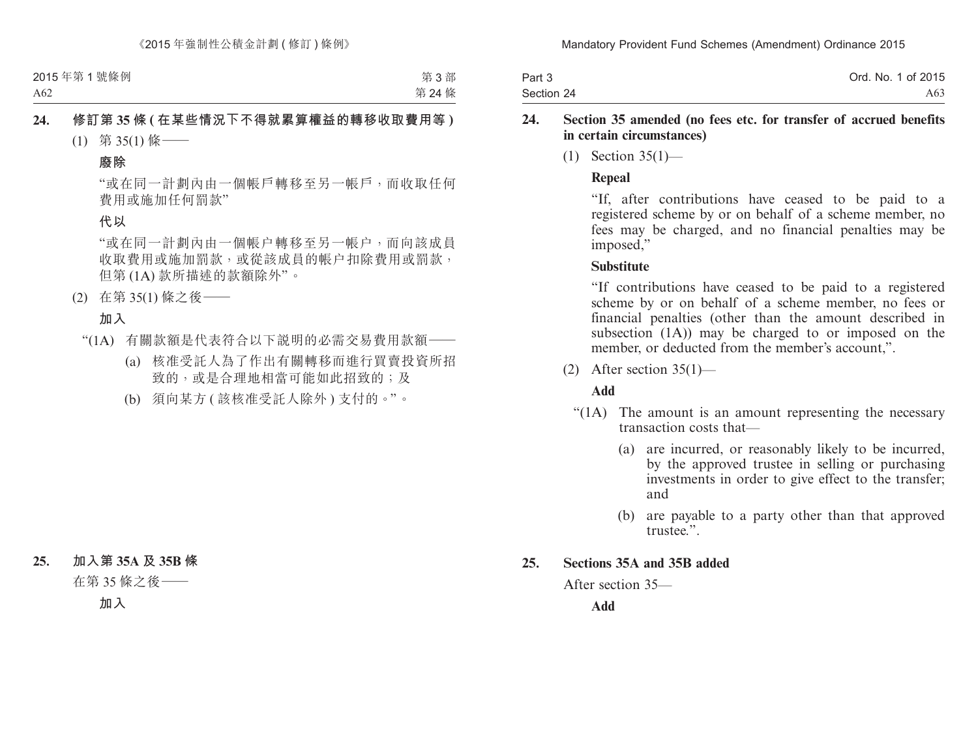| Part 3     | Ord. No. 1 of 2015 |
|------------|--------------------|
| Section 24 | A63 -              |

#### **24. Section 35 amended (no fees etc. for transfer of accrued benefits in certain circumstances)**

(1) Section 35(1)—

#### **Repeal**

"If, after contributions have ceased to be paid to a registered scheme by or on behalf of a scheme member, no fees may be charged, and no financial penalties may be imposed,"

#### **Substitute**

"If contributions have ceased to be paid to a registered scheme by or on behalf of a scheme member, no fees or financial penalties (other than the amount described in subsection (1A)) may be charged to or imposed on the member, or deducted from the member's account,".

 $(2)$  After section 35(1)—

### **Add**

- "(1A) The amount is an amount representing the necessary transaction costs that—
	- (a) are incurred, or reasonably likely to be incurred, by the approved trustee in selling or purchasing investments in order to give effect to the transfer; and
	- (b) are payable to a party other than that approved trustee."

#### **25. Sections 35A and 35B added**

After section 35—

**Add**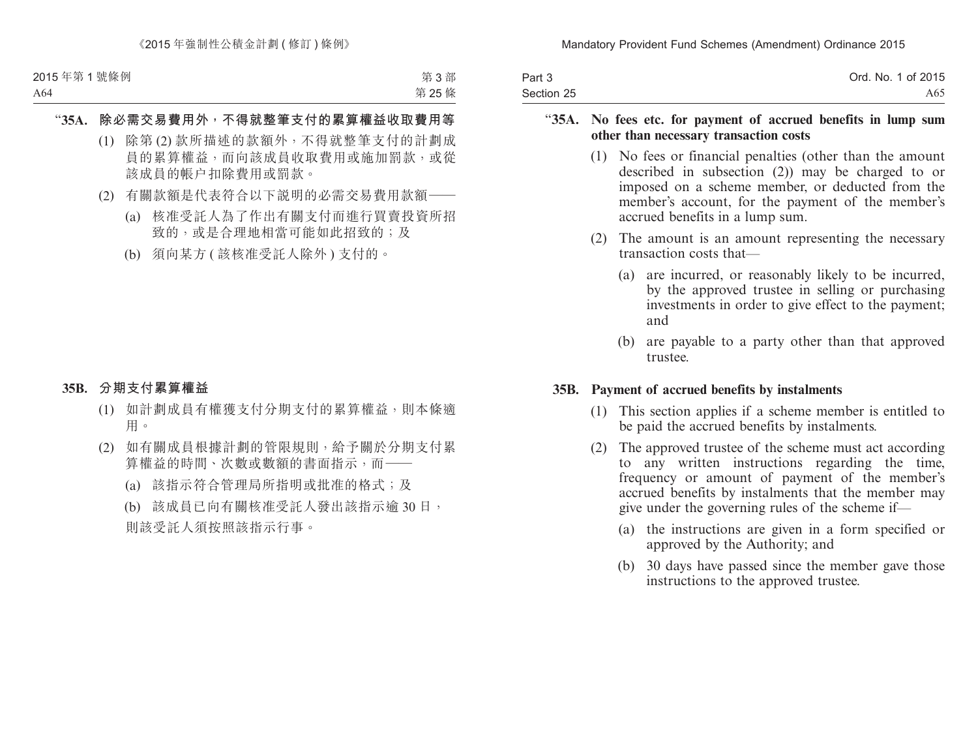| Part 3     | Ord. No. 1 of 2015 |
|------------|--------------------|
| Section 25 | A65.               |

#### "**35A. No fees etc. for payment of accrued benefits in lump sum other than necessary transaction costs**

- (1) No fees or financial penalties (other than the amount described in subsection (2)) may be charged to or imposed on a scheme member, or deducted from the member's account, for the payment of the member's accrued benefits in a lump sum.
- (2) The amount is an amount representing the necessary transaction costs that—
	- (a) are incurred, or reasonably likely to be incurred, by the approved trustee in selling or purchasing investments in order to give effect to the payment; and
	- (b) are payable to a party other than that approved trustee.

#### **35B. Payment of accrued benefits by instalments**

- (1) This section applies if a scheme member is entitled to be paid the accrued benefits by instalments.
- (2) The approved trustee of the scheme must act according to any written instructions regarding the time, frequency or amount of payment of the member's accrued benefits by instalments that the member may give under the governing rules of the scheme if—
	- (a) the instructions are given in a form specified or approved by the Authority; and
	- (b) 30 days have passed since the member gave those instructions to the approved trustee.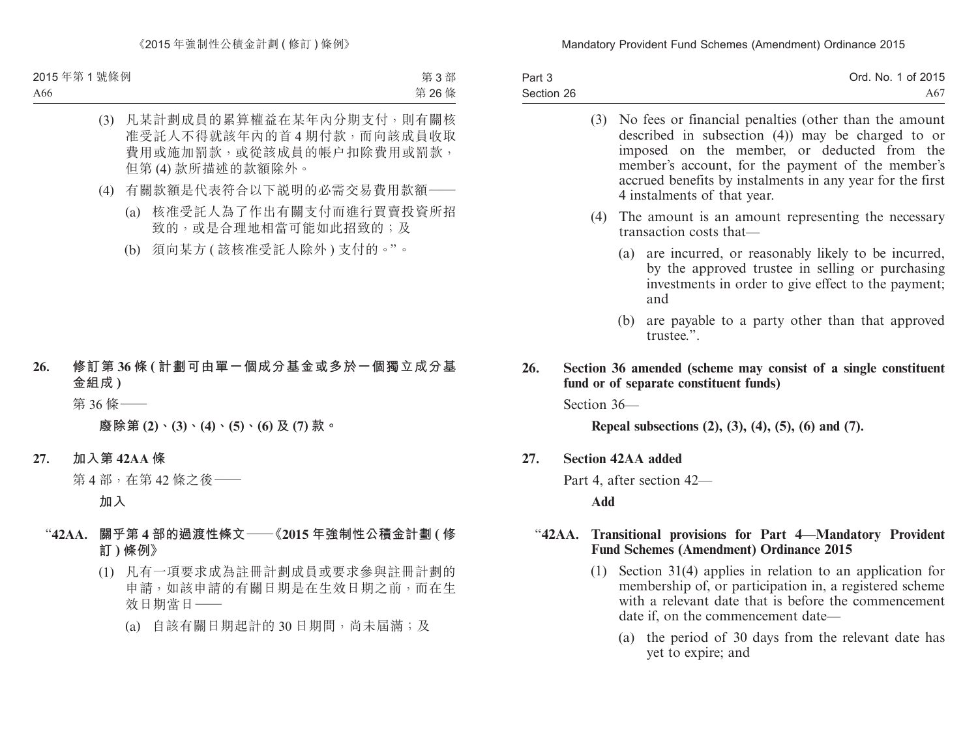| Part 3     | Ord. No. 1 of 2015 |
|------------|--------------------|
| Section 26 | A67 -              |

|     |        |             | (3) No fees or financial penalties (other than the amount<br>described in subsection $(4)$ ) may be charged to or<br>imposed on the member, or deducted from the<br>member's account, for the payment of the member's<br>accrued benefits by instalments in any year for the first<br>4 instalments of that year. |
|-----|--------|-------------|-------------------------------------------------------------------------------------------------------------------------------------------------------------------------------------------------------------------------------------------------------------------------------------------------------------------|
|     |        | (4)         | The amount is an amount representing the necessary<br>transaction costs that-                                                                                                                                                                                                                                     |
|     |        |             | are incurred, or reasonably likely to be incurred,<br>(a)<br>by the approved trustee in selling or purchasing<br>investments in order to give effect to the payment;<br>and                                                                                                                                       |
|     |        |             | are payable to a party other than that approved<br>(b)<br>trustee.".                                                                                                                                                                                                                                              |
| 26. |        |             | Section 36 amended (scheme may consist of a single constituent<br>fund or of separate constituent funds)                                                                                                                                                                                                          |
|     |        | Section 36- |                                                                                                                                                                                                                                                                                                                   |
|     |        |             | Repeal subsections $(2)$ , $(3)$ , $(4)$ , $(5)$ , $(6)$ and $(7)$ .                                                                                                                                                                                                                                              |
| 27. |        |             | <b>Section 42AA added</b>                                                                                                                                                                                                                                                                                         |
|     |        |             | Part 4, after section 42—                                                                                                                                                                                                                                                                                         |
|     |        | Add         |                                                                                                                                                                                                                                                                                                                   |
|     | "42AA. |             | Transitional provisions for Part 4-Mandatory Provident<br><b>Fund Schemes (Amendment) Ordinance 2015</b>                                                                                                                                                                                                          |
|     |        | (1)         | Section $31(4)$ applies in relation to an application for<br>membership of, or participation in, a registered scheme<br>with a relevant date that is before the commencement<br>date if, on the commencement date—                                                                                                |
|     |        |             | (a) the period of 30 days from the relevant date has                                                                                                                                                                                                                                                              |

yet to expire; and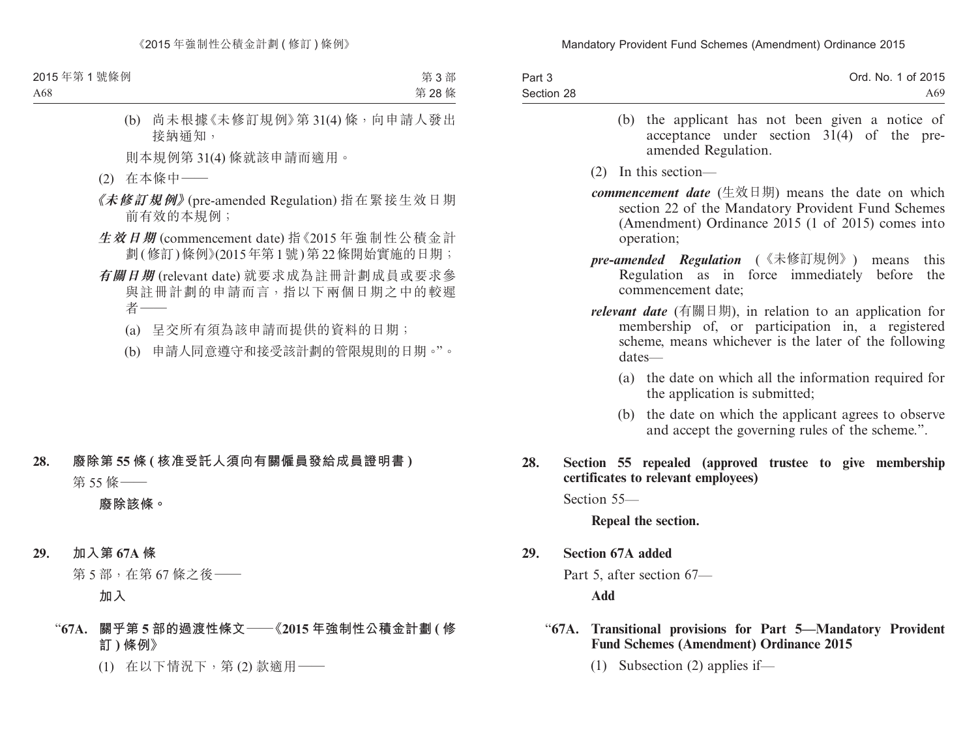| Part 3     | Ord. No. 1 of 2015 |
|------------|--------------------|
| Section 28 | A69.               |

- (b) the applicant has not been given a notice of acceptance under section  $3\tilde{1}(4)$  of the preamended Regulation.
- (2) In this section—
- *commencement date* (生效日期) means the date on which section 22 of the Mandatory Provident Fund Schemes (Amendment) Ordinance 2015 (1 of 2015) comes into operation;
- *pre-amended Regulation* (《未修訂規例》) means this Regulation as in force immediately before the commencement date;
- *relevant date* (有關日期), in relation to an application for membership of, or participation in, a registered scheme, means whichever is the later of the following dates—
	- (a) the date on which all the information required for the application is submitted;
	- (b) the date on which the applicant agrees to observe and accept the governing rules of the scheme.".

#### **28. Section 55 repealed (approved trustee to give membership certificates to relevant employees)**

Section 55—

**Repeal the section.**

**29. Section 67A added**

Part 5, after section 67—

**Add**

### "**67A. Transitional provisions for Part 5—Mandatory Provident Fund Schemes (Amendment) Ordinance 2015**

(1) Subsection (2) applies if—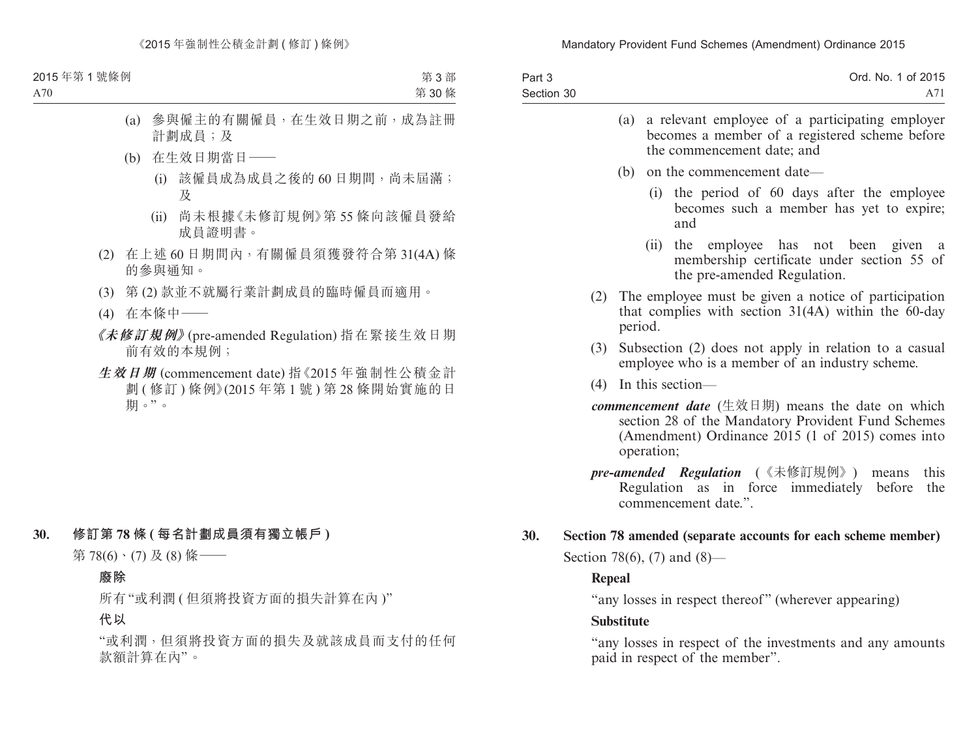| Part 3     | Ord. No. 1 of 2015                                                                                    |
|------------|-------------------------------------------------------------------------------------------------------|
| Section 30 | A 71                                                                                                  |
|            | (a) a relevant employee of a participating employer<br>becomes a member of a registered scheme before |

the commencement date; and

- (b) on the commencement date—
	- (i) the period of 60 days after the employee becomes such a member has yet to expire; and
	- (ii) the employee has not been given a membership certificate under section 55 of the pre-amended Regulation.
- (2) The employee must be given a notice of participation that complies with section 31(4A) within the 60-day period.
- (3) Subsection (2) does not apply in relation to a casual employee who is a member of an industry scheme.
- (4) In this section—
- *commencement date* (生效日期) means the date on which section 28 of the Mandatory Provident Fund Schemes (Amendment) Ordinance 2015 (1 of 2015) comes into operation;
- *pre-amended Regulation* (《未修訂規例》) means this Regulation as in force immediately before the commencement date."

#### **30. Section 78 amended (separate accounts for each scheme member)**

Section 78(6), (7) and (8)—

#### **Repeal**

"any losses in respect thereof" (wherever appearing)

#### **Substitute**

"any losses in respect of the investments and any amounts paid in respect of the member".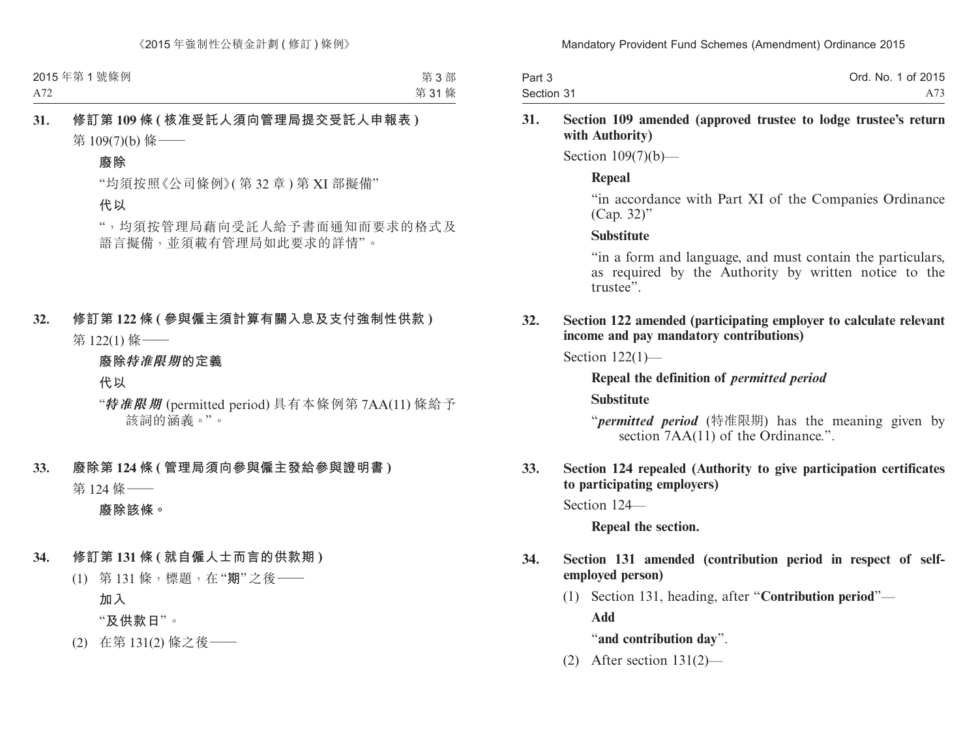| Part 3     | Ord. No. 1 of 2015 |
|------------|--------------------|
| Section 31 |                    |

#### **31. Section 109 amended (approved trustee to lodge trustee's return with Authority)**

Section 109(7)(b)—

### **Repeal**

"in accordance with Part XI of the Companies Ordinance (Cap. 32)"

#### **Substitute**

"in a form and language, and must contain the particulars, as required by the Authority by written notice to the trustee".

### **32. Section 122 amended (participating employer to calculate relevant income and pay mandatory contributions)**

Section 122(1)—

### **Repeal the definition of** *permitted period*

**Substitute**

"*permitted period* (特准限期) has the meaning given by section 7AA(11) of the Ordinance.".

### **33. Section 124 repealed (Authority to give participation certificates to participating employers)**

Section 124—

**Repeal the section.**

### **34. Section 131 amended (contribution period in respect of selfemployed person)**

(1) Section 131, heading, after "**Contribution period**"— **Add**

"**and contribution day**".

(2) After section 131(2)—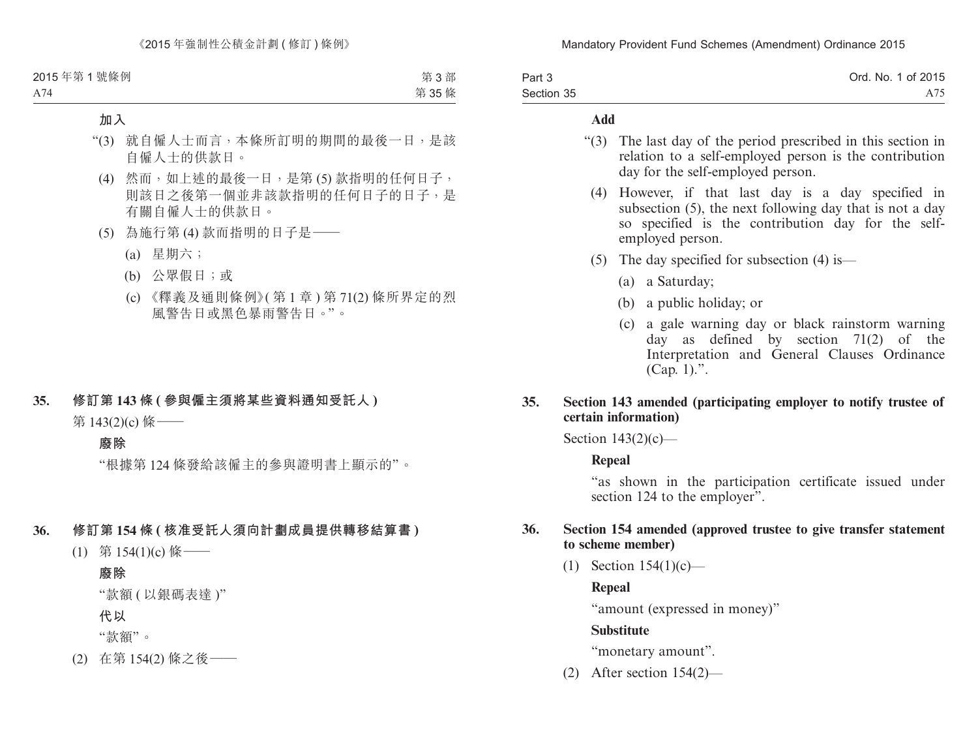| Part 3     | Ord. No. 1 of 2015 |
|------------|--------------------|
| Section 35 | A75                |

#### **Add**

- "(3) The last day of the period prescribed in this section in relation to a self-employed person is the contribution day for the self-employed person.
	- (4) However, if that last day is a day specified in subsection (5), the next following day that is not a day so specified is the contribution day for the selfemployed person.
	- (5) The day specified for subsection (4) is—
		- (a) a Saturday;
		- (b) a public holiday; or
		- (c) a gale warning day or black rainstorm warning day as defined by section 71(2) of the Interpretation and General Clauses Ordinance (Cap. 1).".

#### **35. Section 143 amended (participating employer to notify trustee of certain information)**

Section  $143(2)(c)$ —

#### **Repeal**

"as shown in the participation certificate issued under section 124 to the employer".

#### **36. Section 154 amended (approved trustee to give transfer statement to scheme member)**

(1) Section 154(1)(c)—

# **Repeal**

"amount (expressed in money)"

# **Substitute**

"monetary amount".

(2) After section 154(2)—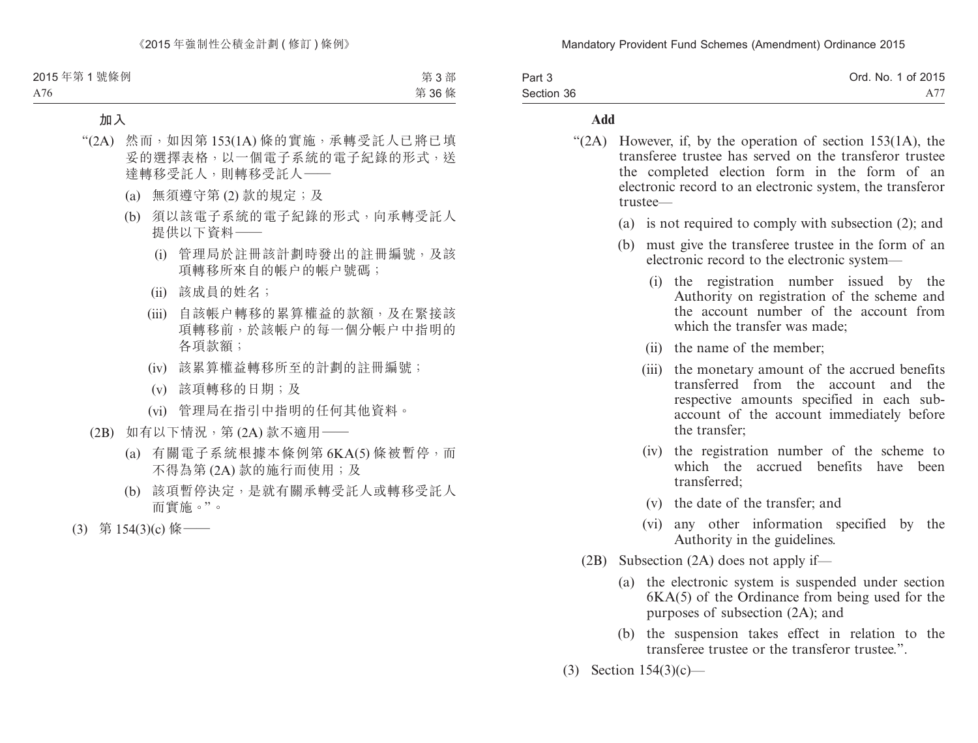| Part 3     | Ord. No. 1 of 2015 |
|------------|--------------------|
| Section 36 |                    |

#### **Add**

- "(2A) However, if, by the operation of section 153(1A), the transferee trustee has served on the transferor trustee the completed election form in the form of an electronic record to an electronic system, the transferor trustee—
	- (a) is not required to comply with subsection (2); and
	- (b) must give the transferee trustee in the form of an electronic record to the electronic system—
		- (i) the registration number issued by the Authority on registration of the scheme and the account number of the account from which the transfer was made;
		- (ii) the name of the member;
		- (iii) the monetary amount of the accrued benefits transferred from the account and the respective amounts specified in each subaccount of the account immediately before the transfer;
		- (iv) the registration number of the scheme to which the accrued benefits have been transferred;
		- (v) the date of the transfer; and
		- (vi) any other information specified by the Authority in the guidelines.
	- (2B) Subsection (2A) does not apply if—
		- (a) the electronic system is suspended under section 6KA(5) of the Ordinance from being used for the purposes of subsection (2A); and
		- (b) the suspension takes effect in relation to the transferee trustee or the transferor trustee.".
- (3) Section 154(3)(c)—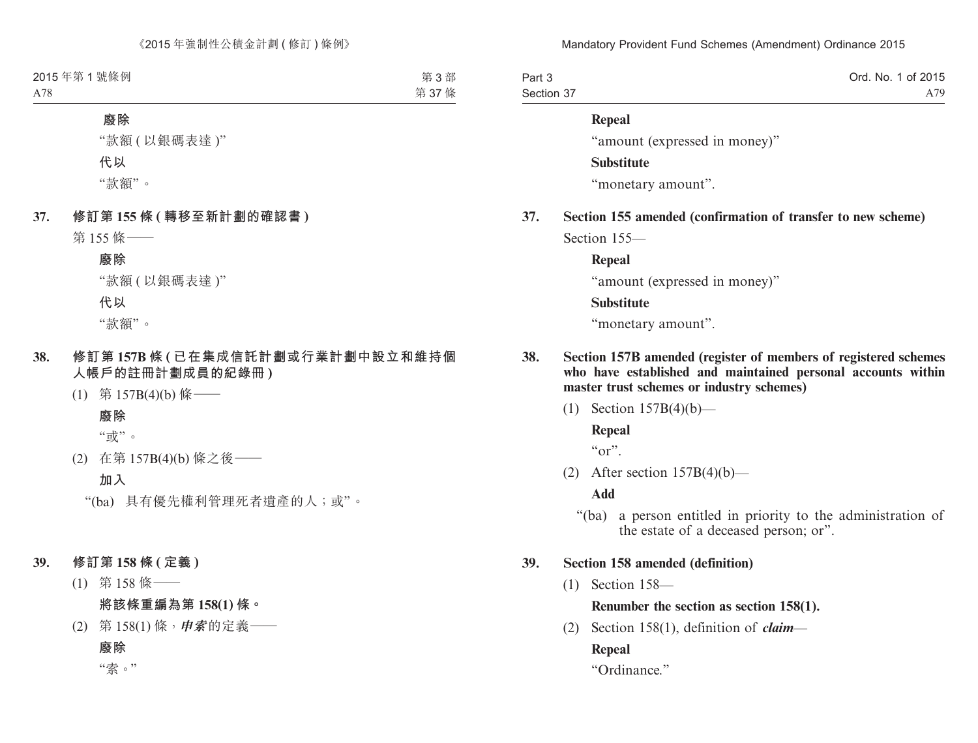| Part 3     | Ord. No. 1 of 2015 |
|------------|--------------------|
| Section 37 | A 79               |

# **Repeal**

"amount (expressed in money)"

**Substitute**

"monetary amount".

**37. Section 155 amended (confirmation of transfer to new scheme)** Section 155—

#### **Repeal**

"amount (expressed in money)"

#### **Substitute**

"monetary amount".

- **38. Section 157B amended (register of members of registered schemes who have established and maintained personal accounts within master trust schemes or industry schemes)**
	- (1) Section 157B(4)(b)—

### **Repeal**

 $``or"$ .

(2) After section  $157B(4)(b)$ —

**Add**

"(ba) a person entitled in priority to the administration of the estate of a deceased person; or".

### **39. Section 158 amended (definition)**

(1) Section 158—

# **Renumber the section as section 158(1).**

(2) Section 158(1), definition of *claim*—

# **Repeal**

"Ordinance."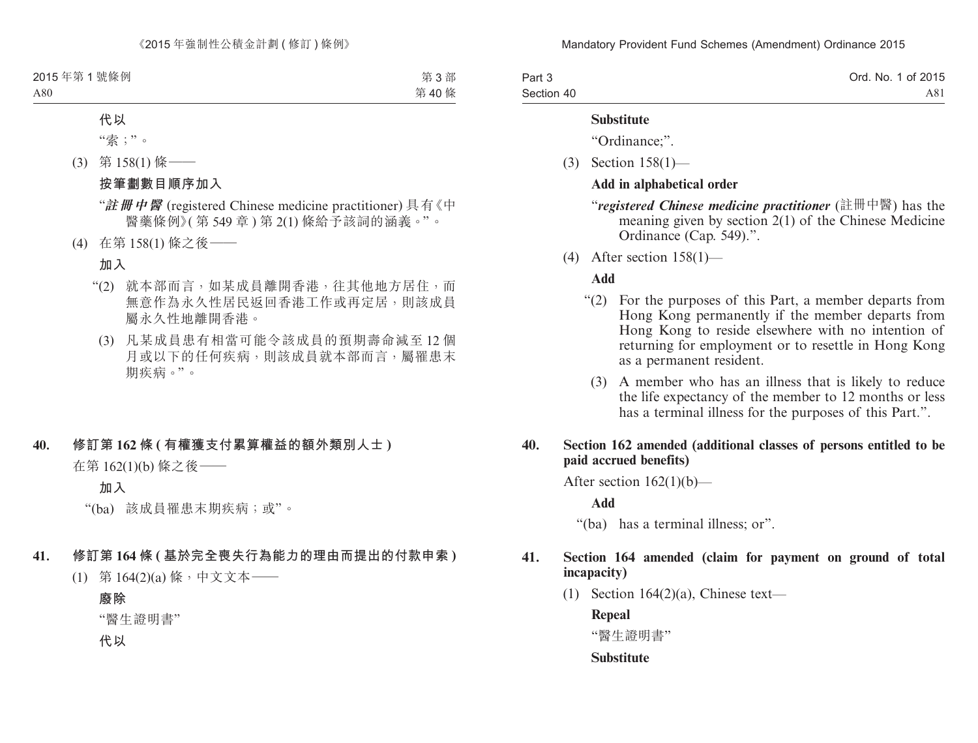| Part 3     | Ord. No. 1 of 2015 |
|------------|--------------------|
| Section 40 | A81                |

#### **Substitute**

"Ordinance;".

(3) Section 158(1)—

#### **Add in alphabetical order**

"*registered Chinese medicine practitioner* (註冊中醫) has the meaning given by section 2(1) of the Chinese Medicine Ordinance (Cap. 549).".

(4) After section 158(1)—

#### **Add**

- "(2) For the purposes of this Part, a member departs from Hong Kong permanently if the member departs from Hong Kong to reside elsewhere with no intention of returning for employment or to resettle in Hong Kong as a permanent resident.
	- (3) A member who has an illness that is likely to reduce the life expectancy of the member to 12 months or less has a terminal illness for the purposes of this Part.".

#### **40. Section 162 amended (additional classes of persons entitled to be paid accrued benefits)**

After section  $162(1)(b)$ —

**Add**

"(ba) has a terminal illness; or".

### **41. Section 164 amended (claim for payment on ground of total incapacity)**

(1) Section  $164(2)(a)$ , Chinese text—

**Repeal**

"醫生證明書"

### **Substitute**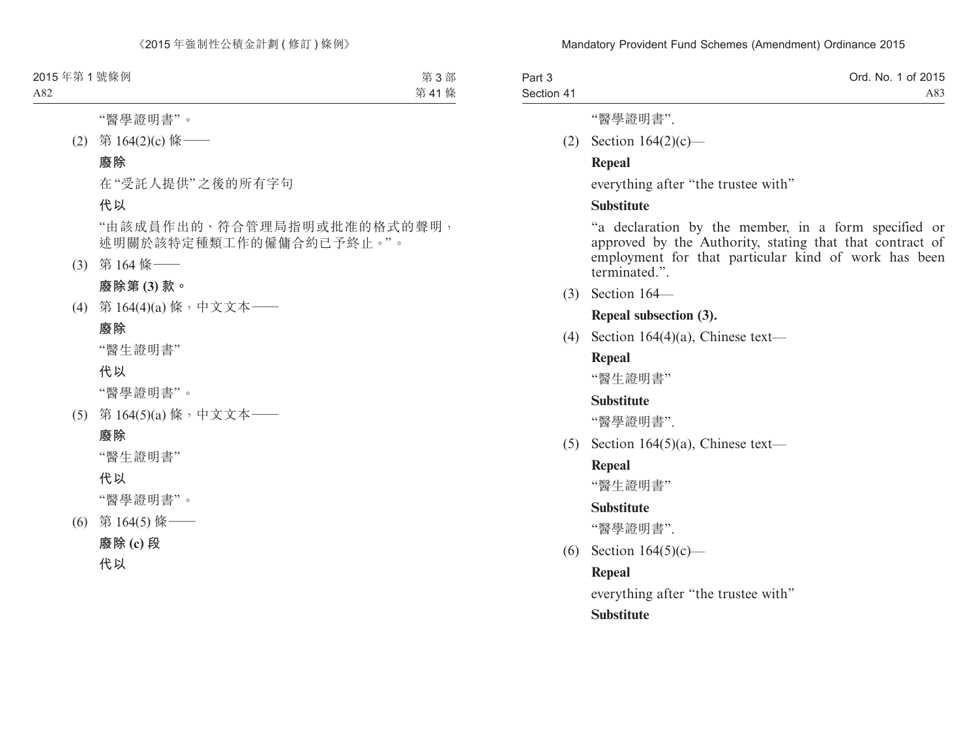| Part 3     | Ord. No. 1 of 2015 |
|------------|--------------------|
| Section 41 | A83                |

"醫學證明書".

(2) Section 164(2)(c)—

### **Repeal**

everything after "the trustee with"

### **Substitute**

"a declaration by the member, in a form specified or approved by the Authority, stating that that contract of employment for that particular kind of work has been terminated.".

(3) Section 164—

#### **Repeal subsection (3).**

(4) Section 164(4)(a), Chinese text—

# **Repeal**

"醫生證明書"

### **Substitute**

"醫學證明書".

(5) Section 164(5)(a), Chinese text—

# **Repeal**

"醫生證明書"

### **Substitute**

"醫學證明書".

(6) Section 164(5)(c)—

# **Repeal**

everything after "the trustee with"

# **Substitute**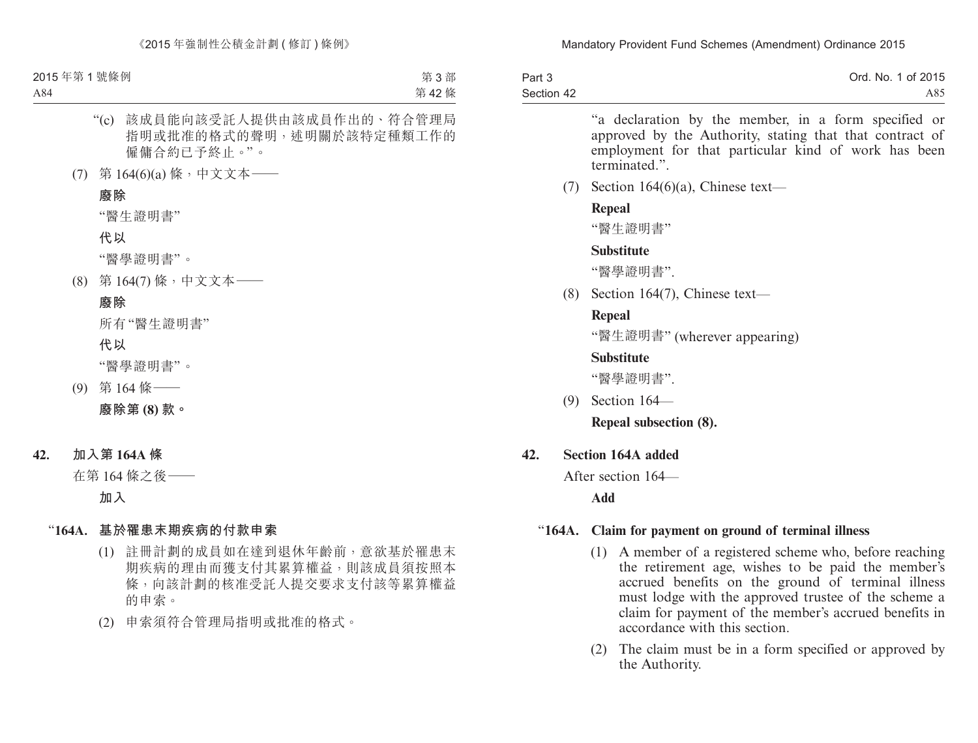| Part 3     | Ord. No. 1 of 2015 |
|------------|--------------------|
| Section 42 | A85                |

"a declaration by the member, in a form specified or approved by the Authority, stating that that contract of employment for that particular kind of work has been terminated."

(7) Section 164 $(6)(a)$ , Chinese text—

### **Repeal**

"醫生證明書"

# **Substitute**

"醫學證明書".

(8) Section 164(7), Chinese text—

# **Repeal**

"醫生證明書" (wherever appearing)

# **Substitute**

"醫學證明書".

(9) Section 164—

**Repeal subsection (8).**

# **42. Section 164A added**

After section 164—

**Add**

# "**164A. Claim for payment on ground of terminal illness**

- (1) A member of a registered scheme who, before reaching the retirement age, wishes to be paid the member's accrued benefits on the ground of terminal illness must lodge with the approved trustee of the scheme a claim for payment of the member's accrued benefits in accordance with this section.
- (2) The claim must be in a form specified or approved by the Authority.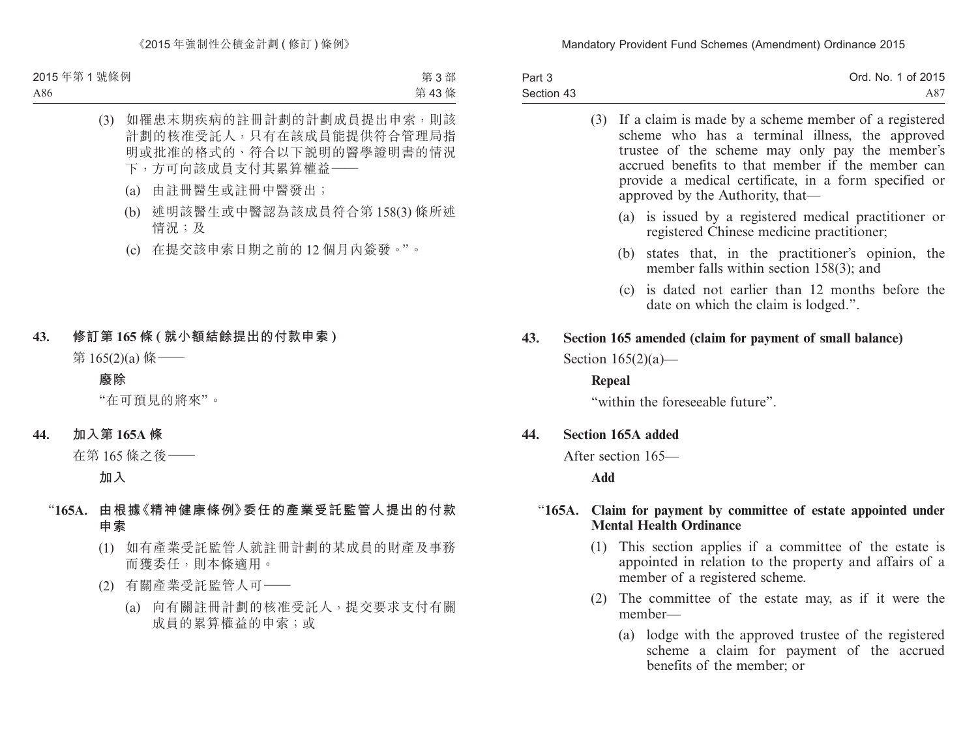| Part 3     | Ord. No. 1 of 2015 |
|------------|--------------------|
| Section 43 | A87                |

|        | If a claim is made by a scheme member of a registered<br>(3)<br>scheme who has a terminal illness, the approved<br>trustee of the scheme may only pay the member's<br>accrued benefits to that member if the member can<br>provide a medical certificate, in a form specified or<br>approved by the Authority, that— |
|--------|----------------------------------------------------------------------------------------------------------------------------------------------------------------------------------------------------------------------------------------------------------------------------------------------------------------------|
|        | (a) is issued by a registered medical practitioner or<br>registered Chinese medicine practitioner;                                                                                                                                                                                                                   |
|        | states that, in the practitioner's opinion, the<br>(b)<br>member falls within section $158(3)$ ; and                                                                                                                                                                                                                 |
|        | (c) is dated not earlier than 12 months before the<br>date on which the claim is lodged.".                                                                                                                                                                                                                           |
| 43.    | Section 165 amended (claim for payment of small balance)                                                                                                                                                                                                                                                             |
|        | Section $165(2)(a)$ —                                                                                                                                                                                                                                                                                                |
|        | Repeal                                                                                                                                                                                                                                                                                                               |
|        | "within the foreseeable future".                                                                                                                                                                                                                                                                                     |
| 44.    | <b>Section 165A added</b>                                                                                                                                                                                                                                                                                            |
|        | After section 165—                                                                                                                                                                                                                                                                                                   |
|        | Add                                                                                                                                                                                                                                                                                                                  |
| "165A. | Claim for payment by committee of estate appointed under<br><b>Mental Health Ordinance</b>                                                                                                                                                                                                                           |
|        | This section applies if a committee of the estate is<br>(1)<br>appointed in relation to the property and affairs of a<br>member of a registered scheme.                                                                                                                                                              |

- (2) The committee of the estate may, as if it were the member—
	- (a) lodge with the approved trustee of the registered scheme a claim for payment of the accrued benefits of the member; or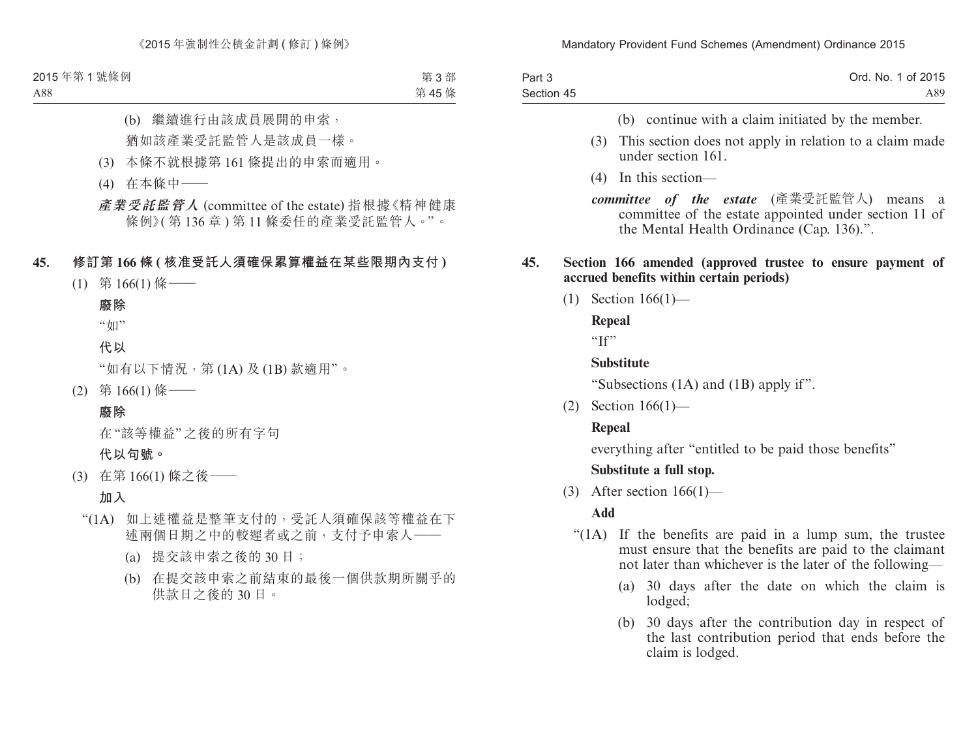| Part 3     | Ord. No. 1 of 2015 |
|------------|--------------------|
| Section 45 | A89.               |

- (b) continue with a claim initiated by the member.
- (3) This section does not apply in relation to a claim made under section 161.
- (4) In this section—
- *committee of the estate* (產業受託監管人) means a committee of the estate appointed under section 11 of the Mental Health Ordinance (Cap. 136).".

#### **45. Section 166 amended (approved trustee to ensure payment of accrued benefits within certain periods)**

(1) Section 166(1)—

**Repeal**

"If"

#### **Substitute**

"Subsections (1A) and (1B) apply if".

(2) Section 166(1)—

#### **Repeal**

everything after "entitled to be paid those benefits"

#### **Substitute a full stop.**

(3) After section  $166(1)$ —

#### **Add**

- "(1A) If the benefits are paid in a lump sum, the trustee must ensure that the benefits are paid to the claimant not later than whichever is the later of the following—
	- (a) 30 days after the date on which the claim is lodged;
	- (b) 30 days after the contribution day in respect of the last contribution period that ends before the claim is lodged.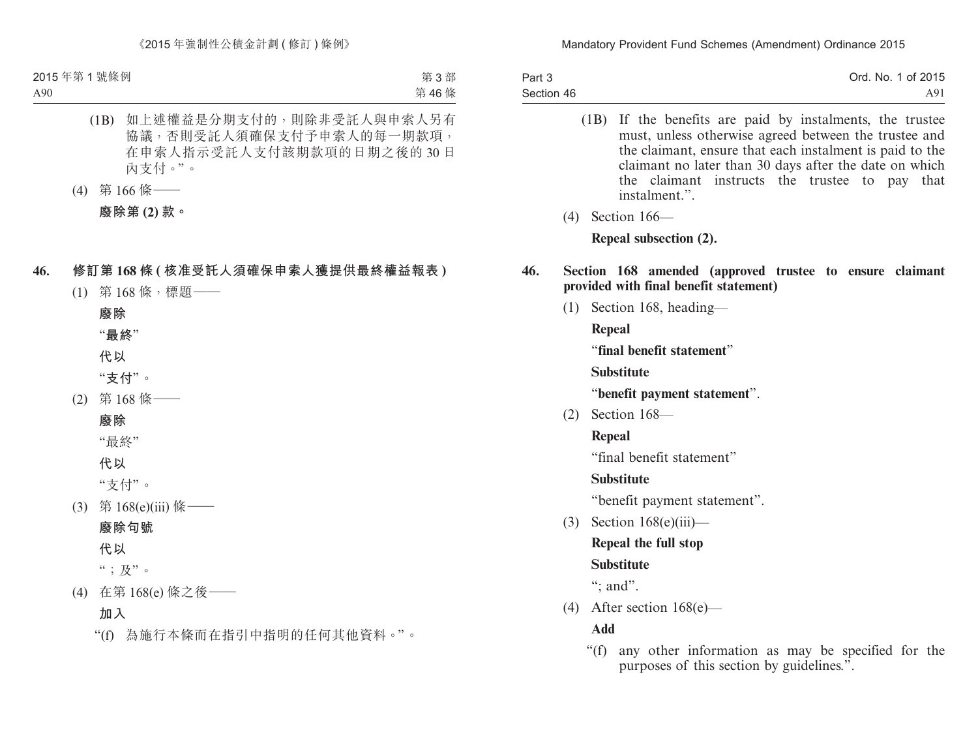| Part 3     | Ord. No. 1 of 2015 |
|------------|--------------------|
| Section 46 | A91                |

- (1B) If the benefits are paid by instalments, the trustee must, unless otherwise agreed between the trustee and the claimant, ensure that each instalment is paid to the claimant no later than 30 days after the date on which the claimant instructs the trustee to pay that instalment."
- (4) Section 166—

**Repeal subsection (2).**

#### **46. Section 168 amended (approved trustee to ensure claimant provided with final benefit statement)**

(1) Section 168, heading—

**Repeal**

"**final benefit statement**"

**Substitute**

"**benefit payment statement**".

(2) Section 168—

**Repeal**

"final benefit statement"

# **Substitute**

"benefit payment statement".

(3) Section 168(e)(iii)—

# **Repeal the full stop**

# **Substitute**

": and".

(4) After section 168(e)—

**Add**

"(f) any other information as may be specified for the purposes of this section by guidelines.".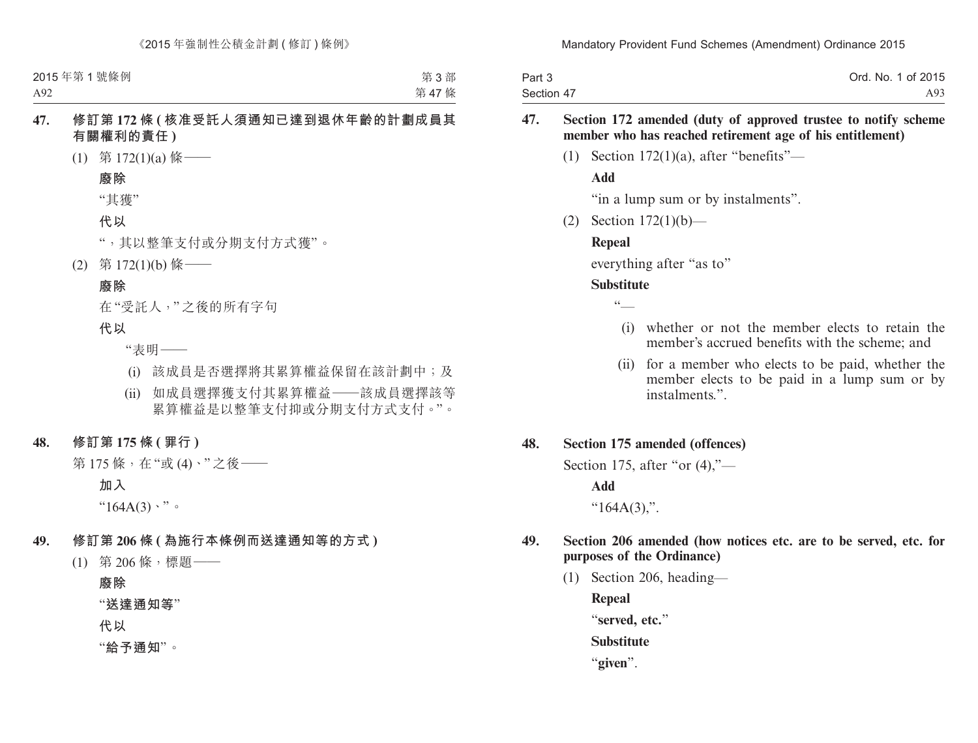| Part 3     | Ord. No. 1 of 2015 |
|------------|--------------------|
| Section 47 | A93                |

#### **47. Section 172 amended (duty of approved trustee to notify scheme member who has reached retirement age of his entitlement)**

(1) Section  $172(1)(a)$ , after "benefits"—

#### **Add**

"in a lump sum or by instalments".

(2) Section 172(1)(b)—

#### **Repeal**

everything after "as to"

#### **Substitute**

 $cc$ 

- (i) whether or not the member elects to retain the member's accrued benefits with the scheme; and
- (ii) for a member who elects to be paid, whether the member elects to be paid in a lump sum or by instalments.".

#### **48. Section 175 amended (offences)**

Section 175, after "or  $(4)$ ,"—

#### **Add**

" $164A(3)$ ,".

#### **49. Section 206 amended (how notices etc. are to be served, etc. for purposes of the Ordinance)**

(1) Section 206, heading—

**Repeal**

"**served, etc.**"

**Substitute**

"**given**".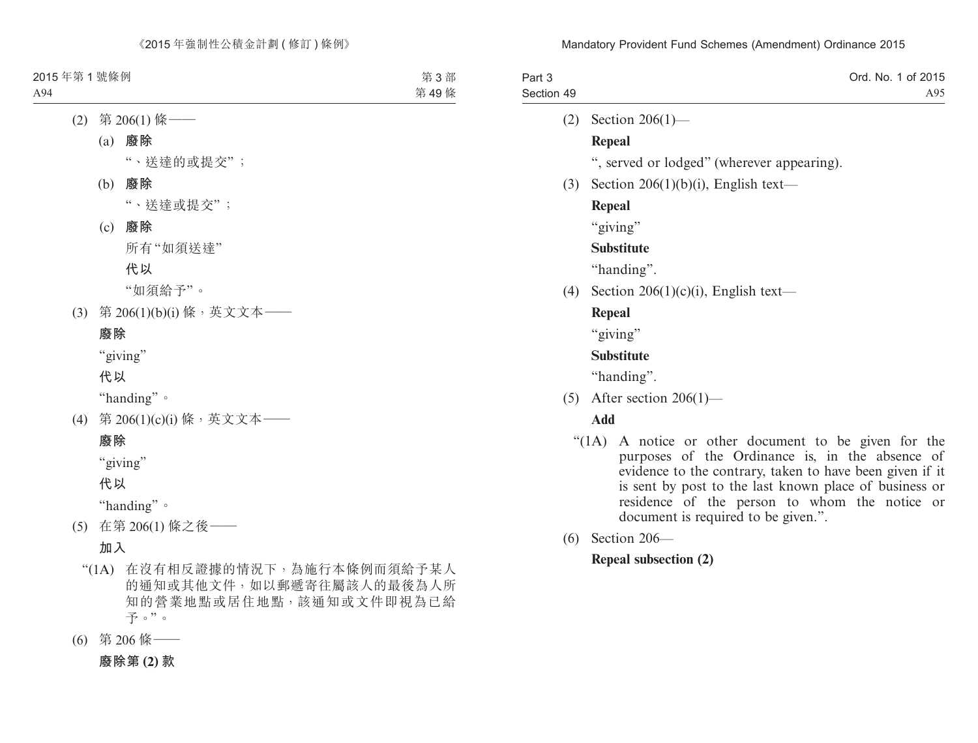| Part 3<br>Section 49 | Ord. No. 1 of 2015<br>A95                                                                                                                                                                                                                                                                                                |
|----------------------|--------------------------------------------------------------------------------------------------------------------------------------------------------------------------------------------------------------------------------------------------------------------------------------------------------------------------|
| (2)                  | Section $206(1)$ —                                                                                                                                                                                                                                                                                                       |
|                      | Repeal                                                                                                                                                                                                                                                                                                                   |
|                      | ", served or lodged" (wherever appearing).                                                                                                                                                                                                                                                                               |
| (3)                  | Section $206(1)(b)(i)$ , English text—                                                                                                                                                                                                                                                                                   |
|                      | Repeal                                                                                                                                                                                                                                                                                                                   |
|                      | "giving"                                                                                                                                                                                                                                                                                                                 |
|                      | <b>Substitute</b>                                                                                                                                                                                                                                                                                                        |
|                      | "handing".                                                                                                                                                                                                                                                                                                               |
| (4)                  | Section 206(1)(c)(i), English text—                                                                                                                                                                                                                                                                                      |
|                      | <b>Repeal</b>                                                                                                                                                                                                                                                                                                            |
|                      | "giving"                                                                                                                                                                                                                                                                                                                 |
|                      | <b>Substitute</b>                                                                                                                                                                                                                                                                                                        |
|                      | "handing".                                                                                                                                                                                                                                                                                                               |
| (5)                  | After section $206(1)$ —                                                                                                                                                                                                                                                                                                 |
|                      | Add                                                                                                                                                                                                                                                                                                                      |
|                      | "(1A) A notice or other document to be given for the<br>purposes of the Ordinance is, in the absence of<br>evidence to the contrary, taken to have been given if it<br>is sent by post to the last known place of business or<br>residence of the person to whom the notice<br>or<br>document is required to be given.". |

(6) Section 206—

# **Repeal subsection (2)**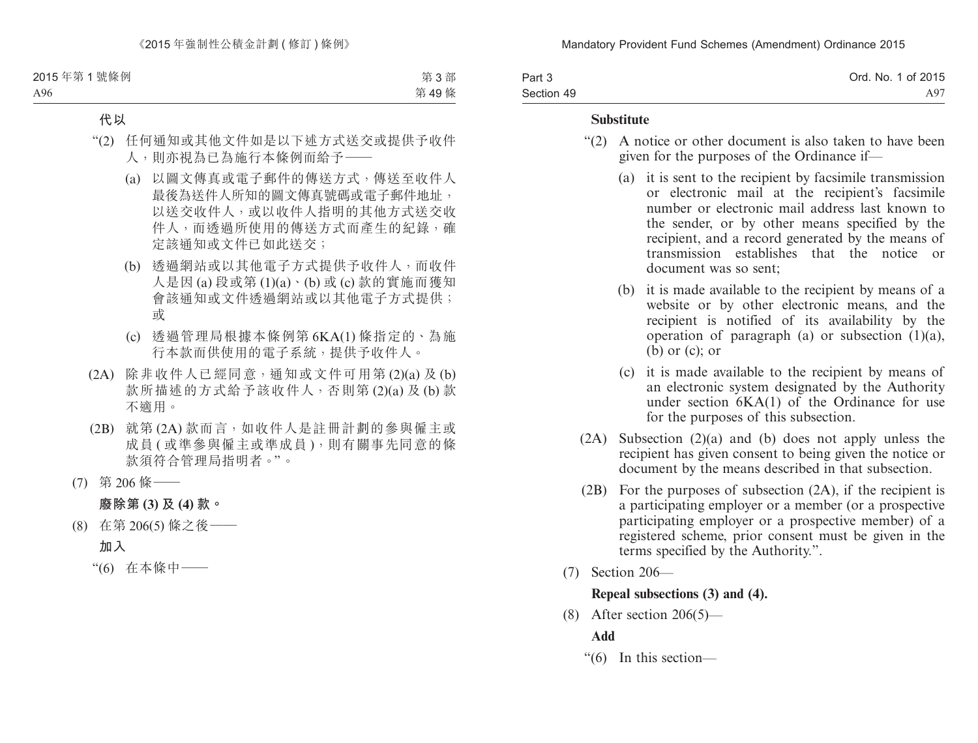| Part 3     | Ord. No. 1 of 2015 |
|------------|--------------------|
| Section 49 | A97                |

#### **Substitute**

- "(2) A notice or other document is also taken to have been given for the purposes of the Ordinance if—
	- (a) it is sent to the recipient by facsimile transmission or electronic mail at the recipient's facsimile number or electronic mail address last known to the sender, or by other means specified by the recipient, and a record generated by the means of transmission establishes that the notice or document was so sent;
	- (b) it is made available to the recipient by means of a website or by other electronic means, and the recipient is notified of its availability by the operation of paragraph (a) or subsection  $(1)(a)$ ,  $(b)$  or  $(c)$ ; or
	- (c) it is made available to the recipient by means of an electronic system designated by the Authority under section 6KA(1) of the Ordinance for use for the purposes of this subsection.
- (2A) Subsection (2)(a) and (b) does not apply unless the recipient has given consent to being given the notice or document by the means described in that subsection.
- (2B) For the purposes of subsection (2A), if the recipient is a participating employer or a member (or a prospective participating employer or a prospective member) of a registered scheme, prior consent must be given in the terms specified by the Authority.".
- (7) Section 206—

### **Repeal subsections (3) and (4).**

(8) After section  $206(5)$ —

# **Add**

"(6) In this section—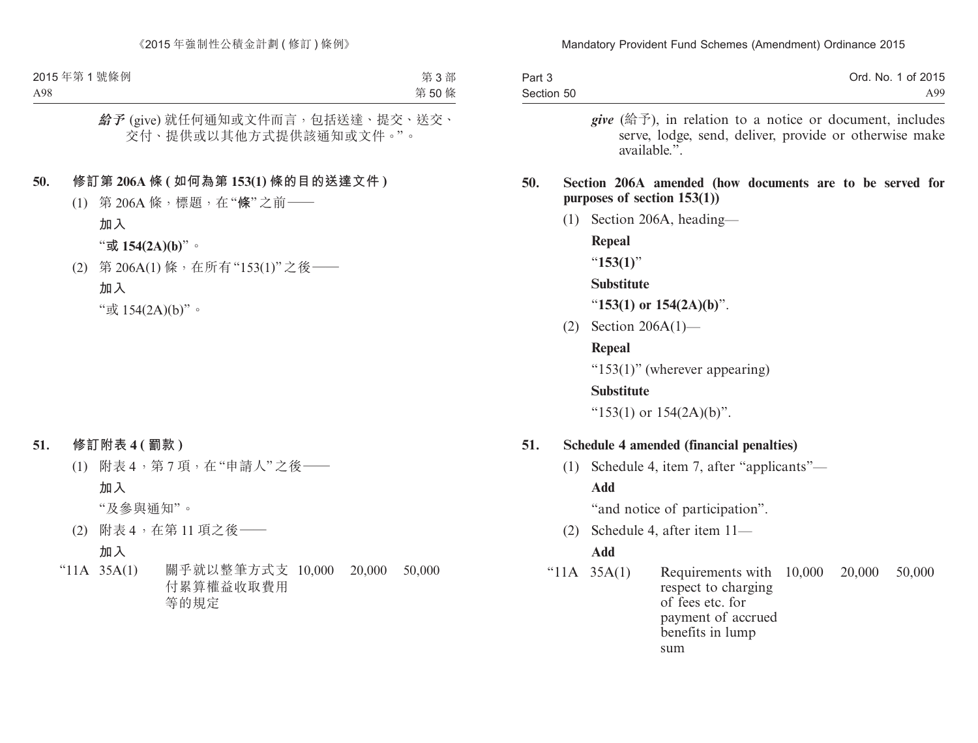| Part 3     |     | Ord. No. 1 of 2015                                                                                                                                                                                                                      |
|------------|-----|-----------------------------------------------------------------------------------------------------------------------------------------------------------------------------------------------------------------------------------------|
| Section 50 |     | A99                                                                                                                                                                                                                                     |
| 50.        |     | <i>give</i> (给予), in relation to a notice or document, includes<br>serve, lodge, send, deliver, provide or otherwise make<br>available.".<br>Section 206A amended (how documents are to be served for<br>purposes of section $153(1)$ ) |
|            | (1) | Section 206A, heading—                                                                                                                                                                                                                  |
|            |     | Repeal                                                                                                                                                                                                                                  |
|            |     | " $153(1)$ "                                                                                                                                                                                                                            |

#### **Substitute**

"**153(1) or 154(2A)(b)**".

(2) Section 206A(1)—

### **Repeal**

"153(1)" (wherever appearing)

#### **Substitute**

" $153(1)$  or  $154(2A)(b)$ ".

### **51. Schedule 4 amended (financial penalties)**

(1) Schedule 4, item 7, after "applicants"— **Add**

"and notice of participation".

(2) Schedule 4, after item 11—

#### **Add**

"11A 35A(1) Requirements with 10,000 20,000 50,000 respect to charging of fees etc. for payment of accrued benefits in lump sum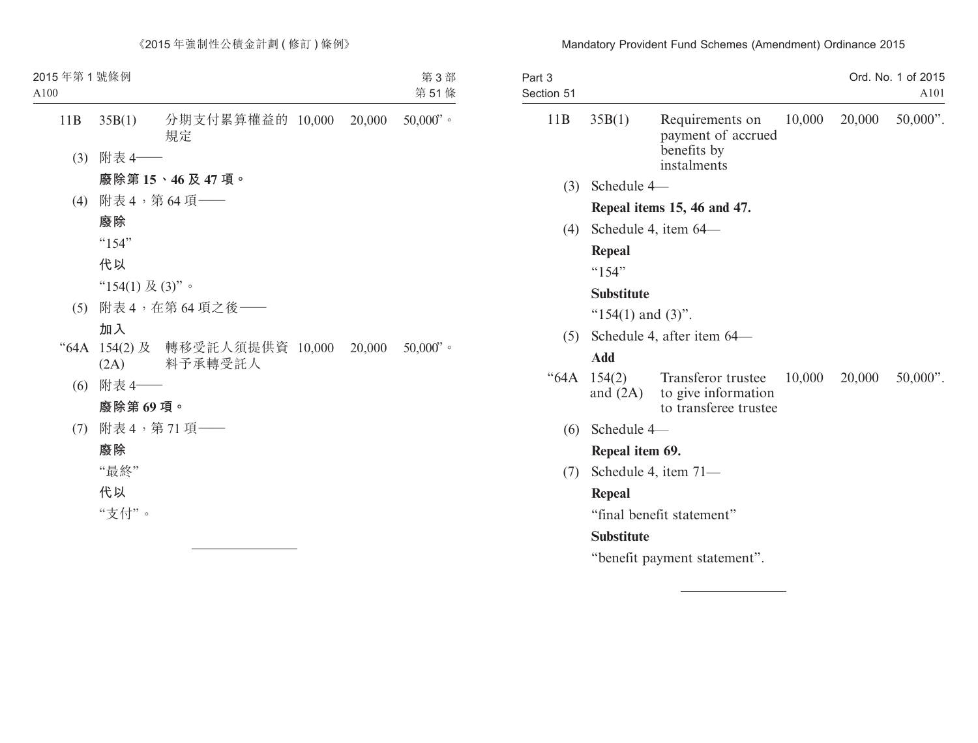| Part 3<br>Section 51 |                                   |                                                                                      |        |        | Ord. No. 1 of 2015<br>A101 |  |
|----------------------|-----------------------------------|--------------------------------------------------------------------------------------|--------|--------|----------------------------|--|
| 11B                  | 35B(1)                            | Requirements on<br>payment of accrued<br>benefits by<br>instalments                  | 10,000 | 20,000 | $50,000$ ".                |  |
| (3)                  | Schedule 4-                       |                                                                                      |        |        |                            |  |
|                      |                                   | Repeal items 15, 46 and 47.                                                          |        |        |                            |  |
| (4)                  |                                   | Schedule 4, item 64–                                                                 |        |        |                            |  |
|                      | <b>Repeal</b>                     |                                                                                      |        |        |                            |  |
|                      | $^{64}$ 154"                      |                                                                                      |        |        |                            |  |
|                      | <b>Substitute</b>                 |                                                                                      |        |        |                            |  |
|                      | " $154(1)$ and $(3)$ ".           |                                                                                      |        |        |                            |  |
|                      | Schedule 4, after item 64—<br>(5) |                                                                                      |        |        |                            |  |
|                      | <b>Add</b>                        |                                                                                      |        |        |                            |  |
| "64A                 | 154(2)                            | <b>Transferor trustee</b><br>and $(2A)$ to give information<br>to transferee trustee | 10,000 | 20,000 | $50,000$ ".                |  |
| (6)                  | Schedule 4-                       |                                                                                      |        |        |                            |  |
|                      | Repeal item 69.                   |                                                                                      |        |        |                            |  |
| (7)                  |                                   | Schedule 4, item 71-                                                                 |        |        |                            |  |
|                      | Repeal                            |                                                                                      |        |        |                            |  |
|                      |                                   | "final benefit statement"                                                            |        |        |                            |  |
|                      | <b>Substitute</b>                 |                                                                                      |        |        |                            |  |
|                      |                                   | "benefit payment statement".                                                         |        |        |                            |  |
|                      |                                   |                                                                                      |        |        |                            |  |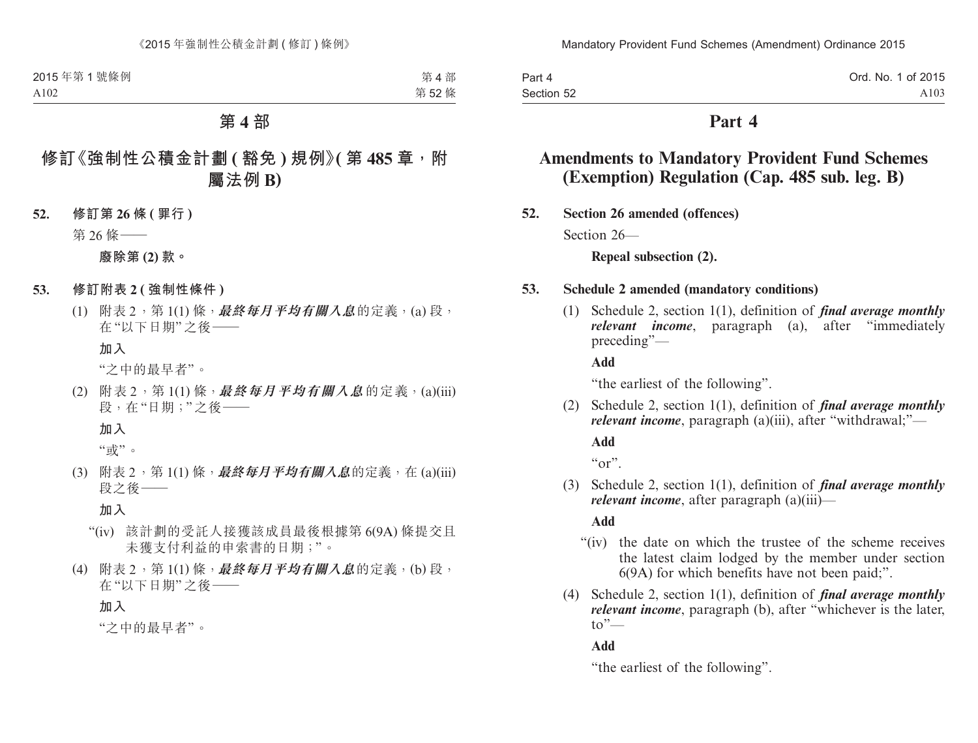| Part 4     | Ord. No. 1 of 2015 |
|------------|--------------------|
| Section 52 | A103               |

# **Part 4**

# **Amendments to Mandatory Provident Fund Schemes (Exemption) Regulation (Cap. 485 sub. leg. B)**

**52. Section 26 amended (offences)**

Section 26—

**Repeal subsection (2).**

#### **53. Schedule 2 amended (mandatory conditions)**

(1) Schedule 2, section 1(1), definition of *final average monthly relevant income*, paragraph (a), after "immediately preceding"—

**Add**

"the earliest of the following".

(2) Schedule 2, section 1(1), definition of *final average monthly relevant income*, paragraph (a)(iii), after "withdrawal;"—

**Add**

 $``\text{or}"$ 

(3) Schedule 2, section 1(1), definition of *final average monthly relevant income*, after paragraph (a)(iii)—

**Add**

- "(iv) the date on which the trustee of the scheme receives the latest claim lodged by the member under section 6(9A) for which benefits have not been paid;".
- (4) Schedule 2, section 1(1), definition of *final average monthly relevant income*, paragraph (b), after "whichever is the later,  $\mathsf{to}^{\mathsf{''}}$ —

**Add**

"the earliest of the following".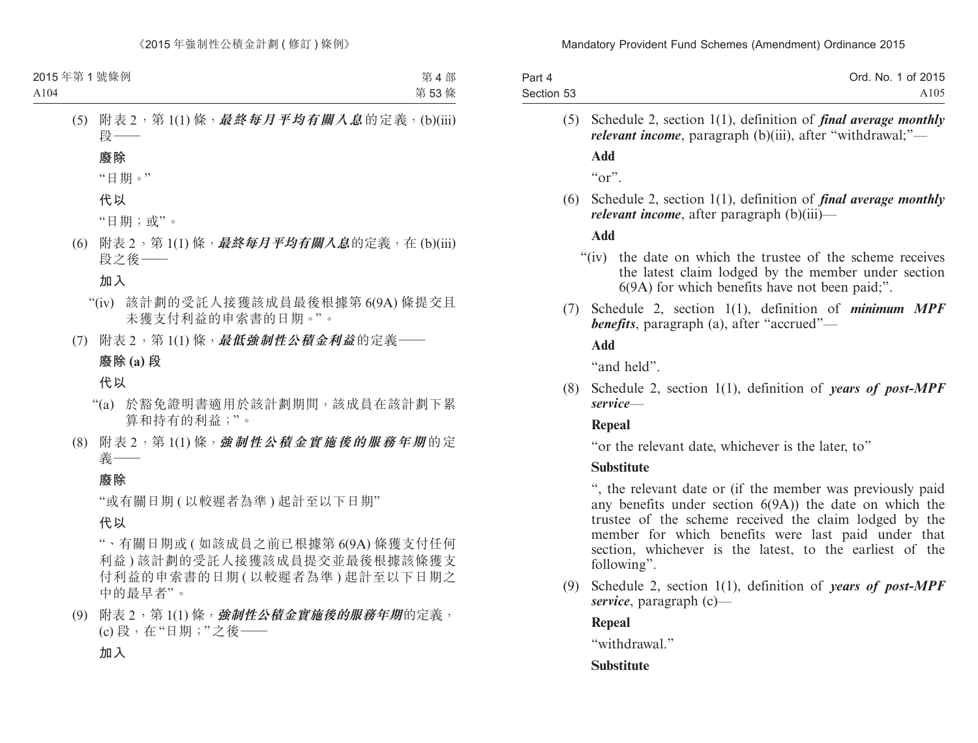| Part 4     | Ord. No. 1 of 2015 |
|------------|--------------------|
| Section 53 | A <sub>105</sub>   |

(5) Schedule 2, section 1(1), definition of *final average monthly relevant income*, paragraph (b)(iii), after "withdrawal;"—

**Add**

 $\mathfrak{c}_{\alpha}$ ".

(6) Schedule 2, section 1(1), definition of *final average monthly relevant income*, after paragraph (b)(iii)—

#### **Add**

- "(iv) the date on which the trustee of the scheme receives the latest claim lodged by the member under section 6(9A) for which benefits have not been paid;".
- (7) Schedule 2, section 1(1), definition of *minimum MPF benefits*, paragraph (a), after "accrued"—

**Add**

"and held".

(8) Schedule 2, section 1(1), definition of *years of post-MPF service*—

### **Repeal**

"or the relevant date, whichever is the later, to"

### **Substitute**

", the relevant date or (if the member was previously paid any benefits under section 6(9A)) the date on which the trustee of the scheme received the claim lodged by the member for which benefits were last paid under that section, whichever is the latest, to the earliest of the following".

(9) Schedule 2, section 1(1), definition of *years of post-MPF service*, paragraph (c)—

### **Repeal**

"withdrawal"

# **Substitute**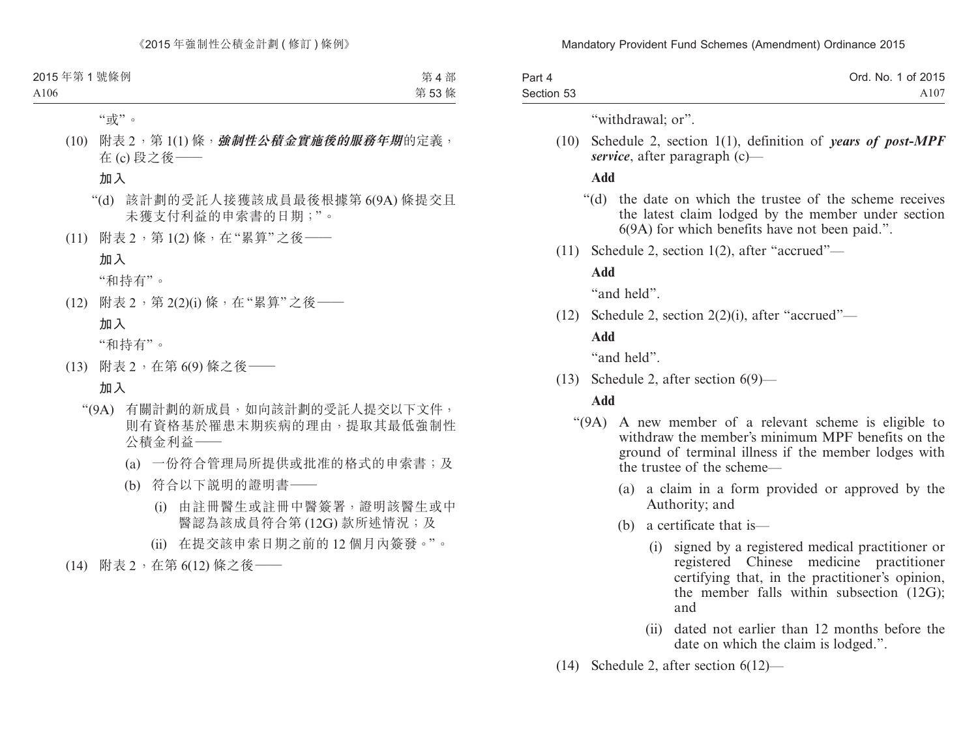| Part 4     | Ord. No. 1 of 2015 |
|------------|--------------------|
| Section 53 | A107               |

"withdrawal: or".

(10) Schedule 2, section 1(1), definition of *years of post-MPF service*, after paragraph (c)—

#### **Add**

- "(d) the date on which the trustee of the scheme receives the latest claim lodged by the member under section 6(9A) for which benefits have not been paid.".
- (11) Schedule 2, section 1(2), after "accrued"—

# **Add**

"and held".

(12) Schedule 2, section 2(2)(i), after "accrued"—

#### **Add**

"and held".

(13) Schedule 2, after section 6(9)—

# **Add**

- "(9A) A new member of a relevant scheme is eligible to withdraw the member's minimum MPF benefits on the ground of terminal illness if the member lodges with the trustee of the scheme—
	- (a) a claim in a form provided or approved by the Authority; and
	- (b) a certificate that is—
		- (i) signed by a registered medical practitioner or registered Chinese medicine practitioner certifying that, in the practitioner's opinion, the member falls within subsection (12G); and
		- (ii) dated not earlier than 12 months before the date on which the claim is lodged.".
- (14) Schedule 2, after section 6(12)—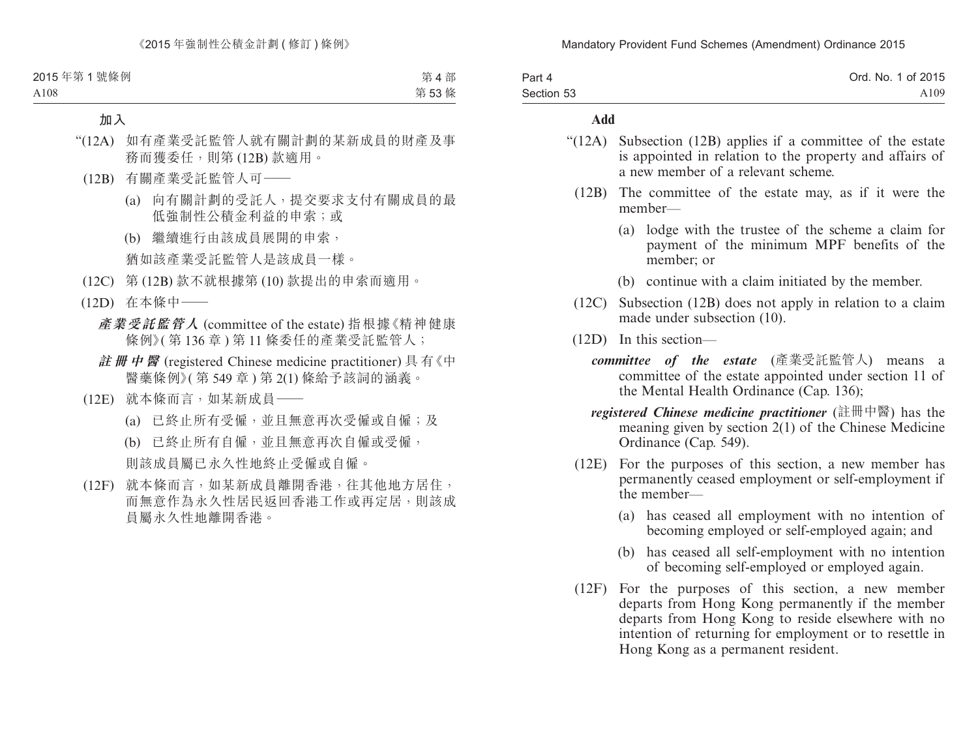| Part 4     | Ord. No. 1 of 2015 |
|------------|--------------------|
| Section 53 | A <sub>109</sub>   |

#### **Add**

- "(12A) Subsection (12B) applies if a committee of the estate is appointed in relation to the property and affairs of a new member of a relevant scheme.
	- (12B) The committee of the estate may, as if it were the member—
		- (a) lodge with the trustee of the scheme a claim for payment of the minimum MPF benefits of the member; or
		- (b) continue with a claim initiated by the member.
	- (12C) Subsection (12B) does not apply in relation to a claim made under subsection (10).
	- (12D) In this section
		- *committee of the estate* (產業受託監管人) means a committee of the estate appointed under section 11 of the Mental Health Ordinance (Cap. 136);
		- *registered Chinese medicine practitioner* (註冊中醫) has the meaning given by section 2(1) of the Chinese Medicine Ordinance (Cap. 549).
	- (12E) For the purposes of this section, a new member has permanently ceased employment or self-employment if the member—
		- (a) has ceased all employment with no intention of becoming employed or self-employed again; and
		- (b) has ceased all self-employment with no intention of becoming self-employed or employed again.
	- (12F) For the purposes of this section, a new member departs from Hong Kong permanently if the member departs from Hong Kong to reside elsewhere with no intention of returning for employment or to resettle in Hong Kong as a permanent resident.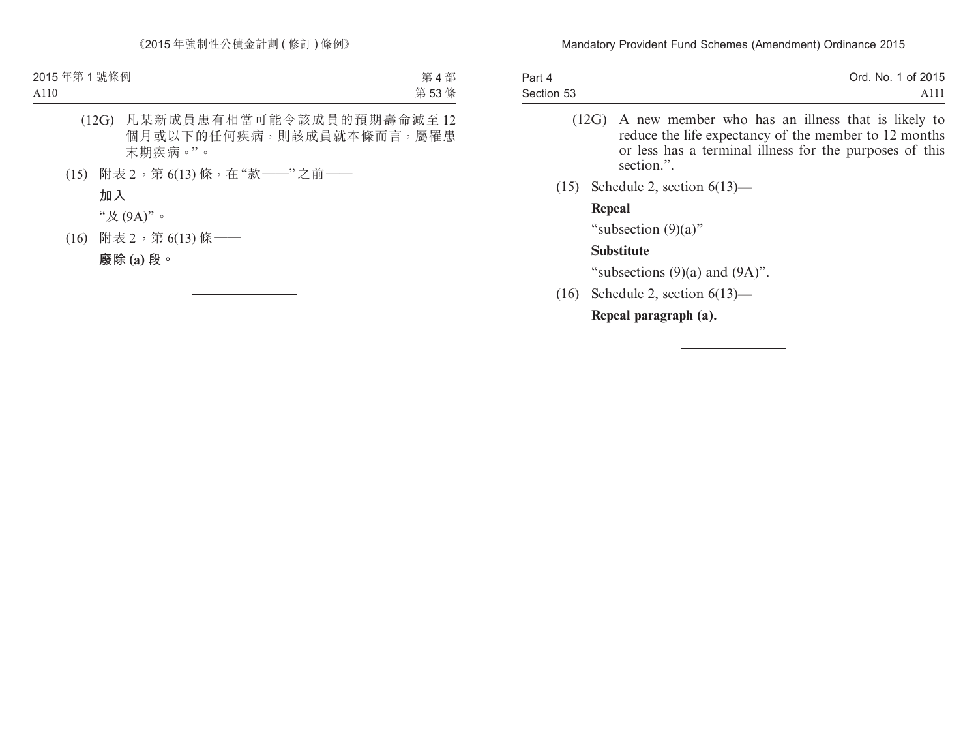| Part 4     | Ord. No. 1 of 2015 |
|------------|--------------------|
| Section 53 | A111               |

- (12G) A new member who has an illness that is likely to reduce the life expectancy of the member to 12 months or less has a terminal illness for the purposes of this section.".
- (15) Schedule 2, section 6(13)—

#### **Repeal**

"subsection (9)(a)"

#### **Substitute**

"subsections  $(9)(a)$  and  $(9A)$ ".

(16) Schedule 2, section 6(13)—

**Repeal paragraph (a).**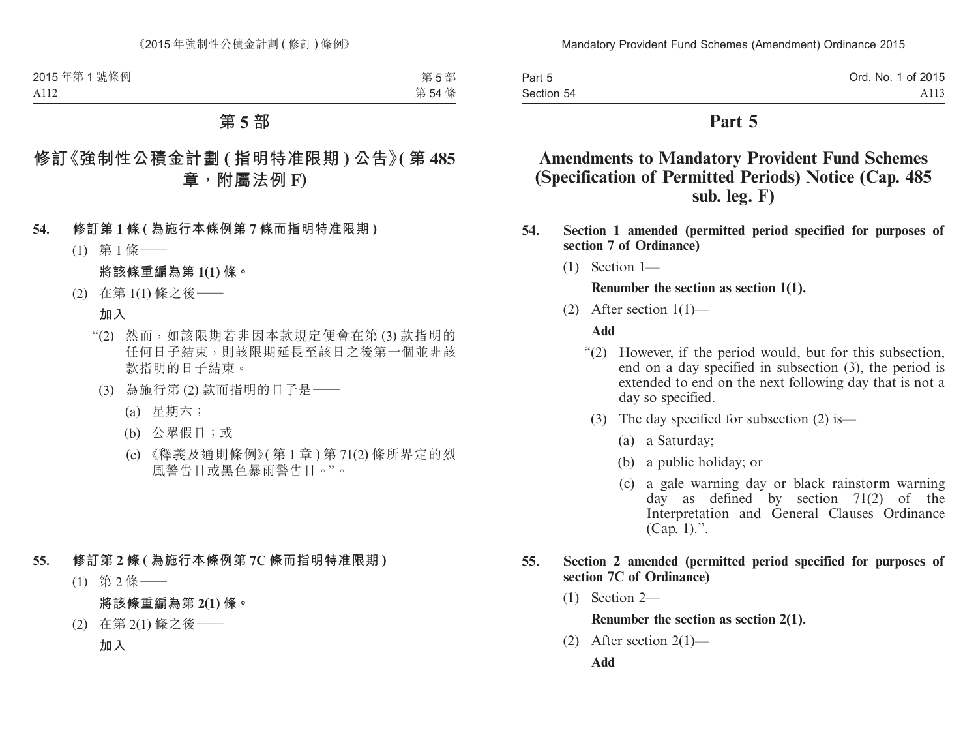Part 5 Section 54 Ord. No. 1 of 2015 A113

# **Part 5**

# **Amendments to Mandatory Provident Fund Schemes (Specification of Permitted Periods) Notice (Cap. 485 sub. leg. F)**

- **54. Section 1 amended (permitted period specified for purposes of section 7 of Ordinance)**
	- (1) Section 1—

**Renumber the section as section 1(1).**

(2) After section  $1(1)$ —

#### **Add**

- "(2) However, if the period would, but for this subsection, end on a day specified in subsection (3), the period is extended to end on the next following day that is not a day so specified.
	- (3) The day specified for subsection (2) is—
		- (a) a Saturday;
		- (b) a public holiday; or
		- (c) a gale warning day or black rainstorm warning day as defined by section 71(2) of the Interpretation and General Clauses Ordinance  $(Can, 1)$ .".

#### **55. Section 2 amended (permitted period specified for purposes of section 7C of Ordinance)**

(1) Section 2—

**Renumber the section as section 2(1).**

(2) After section  $2(1)$ —

**Add**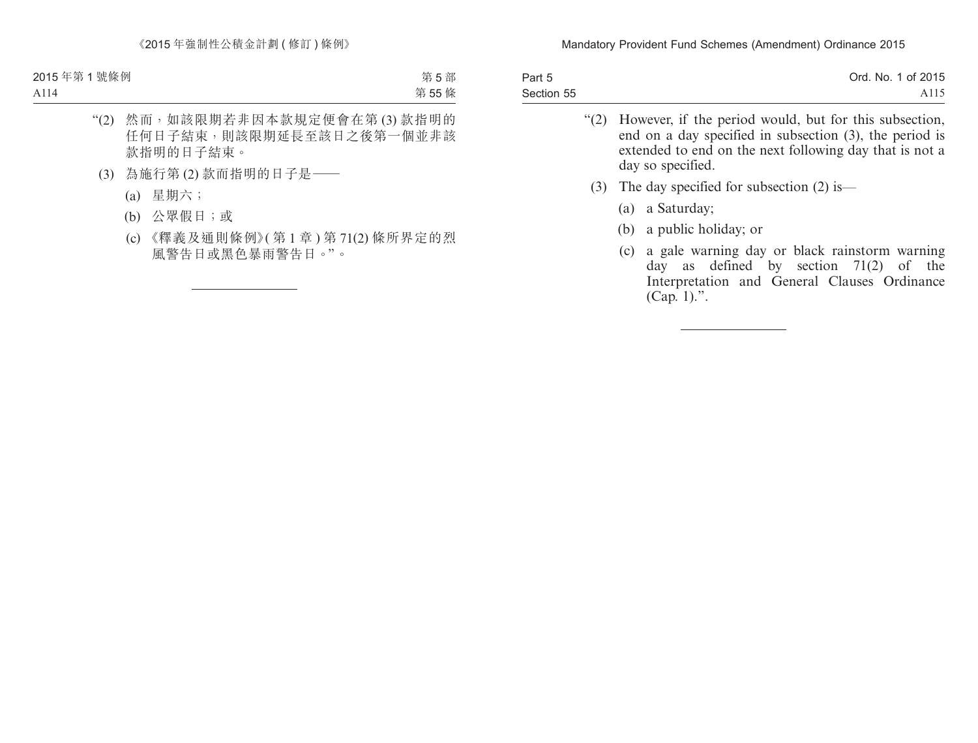| Part 5     | Ord. No. 1 of 2015 |
|------------|--------------------|
| Section 55 | A <sub>115</sub>   |

- "(2) However, if the period would, but for this subsection, end on a day specified in subsection (3), the period is extended to end on the next following day that is not a day so specified.
	- (3) The day specified for subsection (2) is—
		- (a) a Saturday;
		- (b) a public holiday; or
		- (c) a gale warning day or black rainstorm warning day as defined by section 71(2) of the Interpretation and General Clauses Ordinance (Cap. 1).".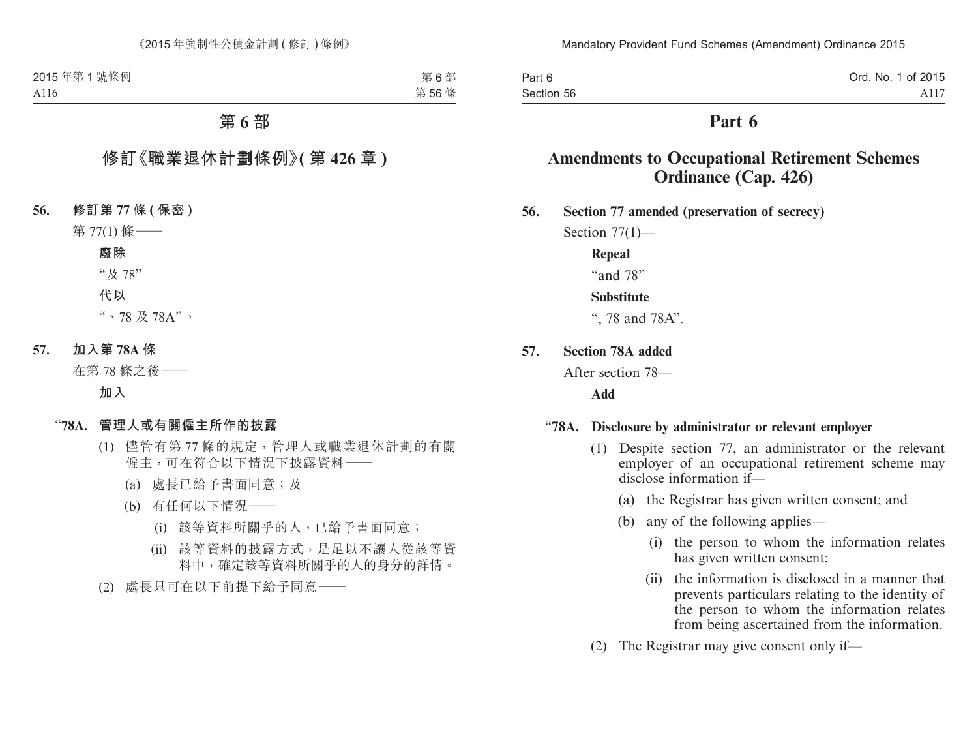| Part 6     | Ord. No. 1 of 2015 |
|------------|--------------------|
| Section 56 | A117               |

# **Part 6**

# **Amendments to Occupational Retirement Schemes Ordinance (Cap. 426)**

**56. Section 77 amended (preservation of secrecy)**

Section  $77(1)$ —

#### **Repeal**

"and 78"

#### **Substitute**

", 78 and 78A".

**57. Section 78A added**

After section 78—

**Add**

#### "**78A. Disclosure by administrator or relevant employer**

- (1) Despite section 77, an administrator or the relevant employer of an occupational retirement scheme may disclose information if—
	- (a) the Registrar has given written consent; and
	- (b) any of the following applies—
		- (i) the person to whom the information relates has given written consent;
		- (ii) the information is disclosed in a manner that prevents particulars relating to the identity of the person to whom the information relates from being ascertained from the information.
- (2) The Registrar may give consent only if—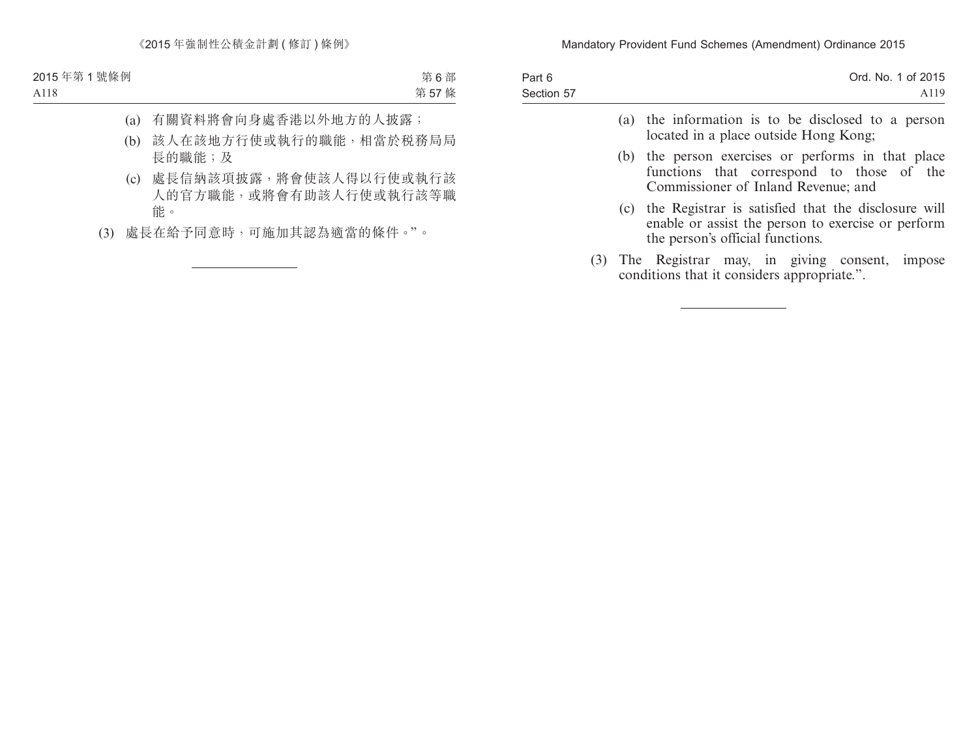| Part 6     | Ord. No. 1 of 2015 |
|------------|--------------------|
| Section 57 | A <sub>119</sub>   |
|            |                    |

- (a) the information is to be disclosed to a person located in a place outside Hong Kong;
- (b) the person exercises or performs in that place functions that correspond to those of the Commissioner of Inland Revenue; and
- (c) the Registrar is satisfied that the disclosure will enable or assist the person to exercise or perform the person's official functions.
- (3) The Registrar may, in giving consent, impose conditions that it considers appropriate.".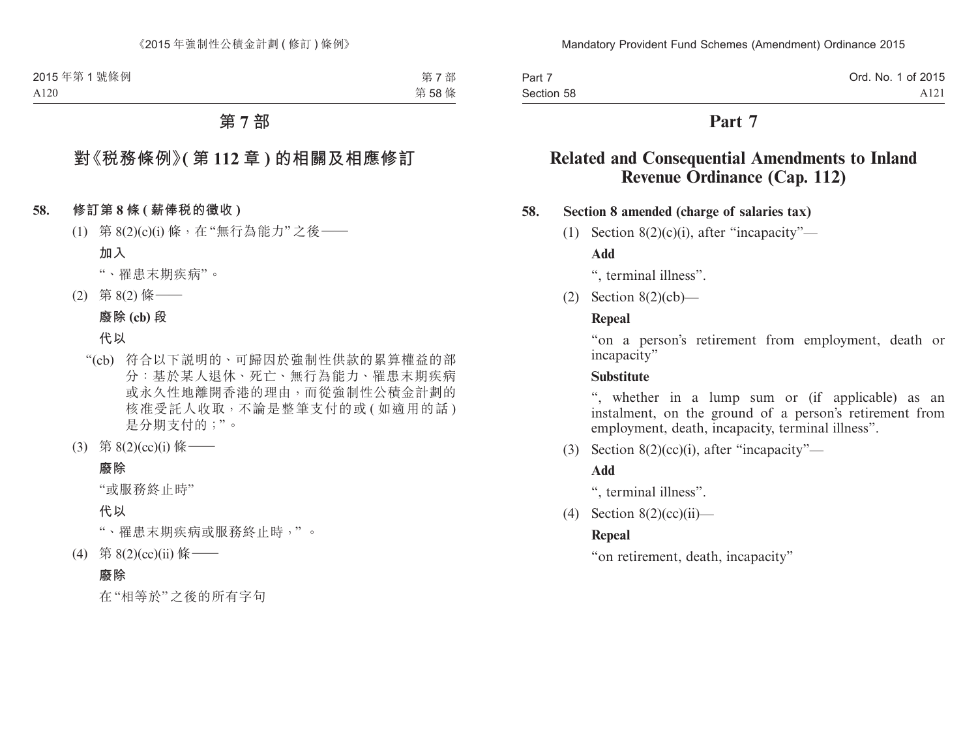| Part 7     | Ord. No. 1 of 2015 |
|------------|--------------------|
| Section 58 | A <sub>121</sub>   |

# **Part 7**

# **Related and Consequential Amendments to Inland Revenue Ordinance (Cap. 112)**

#### **58. Section 8 amended (charge of salaries tax)**

(1) Section  $8(2)(c)(i)$ , after "incapacity"—

**Add**

", terminal illness".

(2) Section 8(2)(cb)—

### **Repeal**

"on a person's retirement from employment, death or incapacity"

#### **Substitute**

", whether in a lump sum or (if applicable) as an instalment, on the ground of a person's retirement from employment, death, incapacity, terminal illness".

(3) Section  $8(2)(cc)(i)$ , after "incapacity"—

### **Add**

", terminal illness".

(4) Section  $8(2)(cc)(ii)$ —

### **Repeal**

"on retirement, death, incapacity"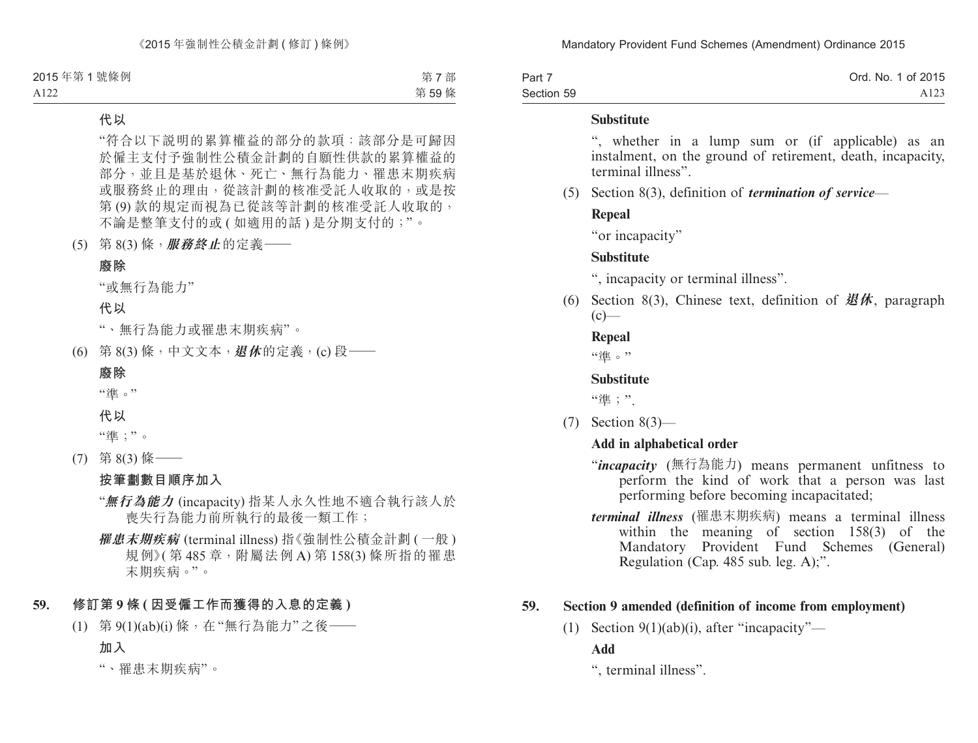| Part 7     | Ord. No. 1 of 2015 |
|------------|--------------------|
| Section 59 | A <sub>123</sub>   |

#### **Substitute**

", whether in a lump sum or (if applicable) as an instalment, on the ground of retirement, death, incapacity, terminal illness".

(5) Section 8(3), definition of *termination of service*—

#### **Repeal**

"or incapacity"

### **Substitute**

", incapacity or terminal illness".

(6) Section 8(3), Chinese text, definition of **退休**, paragraph  $(c)$ —

#### **Repeal**

"淮。"

# **Substitute**

"準;"

(7) Section 8(3)—

### **Add in alphabetical order**

- "*incapacity* (無行為能力) means permanent unfitness to perform the kind of work that a person was last performing before becoming incapacitated;
- *terminal illness* (罹患末期疾病) means a terminal illness within the meaning of section 158(3) of the Mandatory Provident Fund Schemes (General) Regulation (Cap. 485 sub. leg. A);".

# **59. Section 9 amended (definition of income from employment)**

(1) Section  $9(1)(ab)(i)$ , after "incapacity"—

# **Add**

", terminal illness".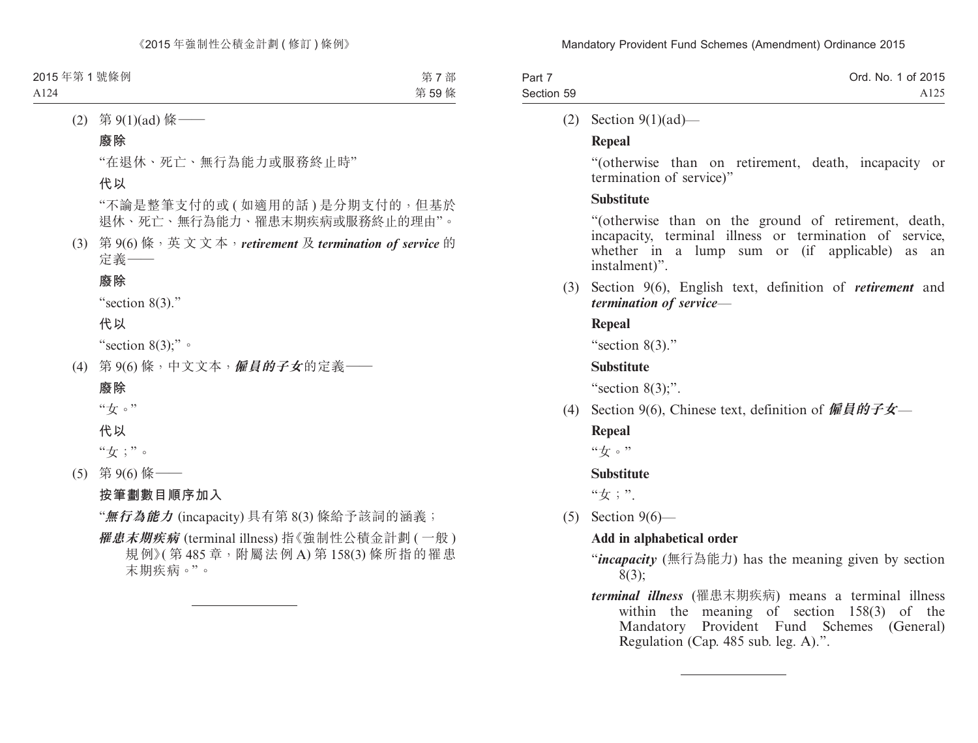| Part 7     | Ord. No. 1 of 2015 |
|------------|--------------------|
| Section 59 | A125               |

(2) Section 9(1)(ad)—

### **Repeal**

"(otherwise than on retirement, death, incapacity or termination of service)"

### **Substitute**

"(otherwise than on the ground of retirement, death, incapacity, terminal illness or termination of service, whether in a lump sum or (if applicable) as an instalment)".

(3) Section 9(6), English text, definition of *retirement* and *termination of service*—

### **Repeal**

"section 8(3)."

### **Substitute**

"section  $8(3)$ ;".

(4) Section 9(6), Chinese text, definition of **僱員的子女**—

### **Repeal**

"女。"

### **Substitute**

"女;".

(5) Section 9(6)—

# **Add in alphabetical order**

- "*incapacity* (無行為能力) has the meaning given by section 8(3);
- *terminal illness* (罹患末期疾病) means a terminal illness within the meaning of section 158(3) of the Mandatory Provident Fund Schemes (General) Regulation (Cap. 485 sub. leg. A).".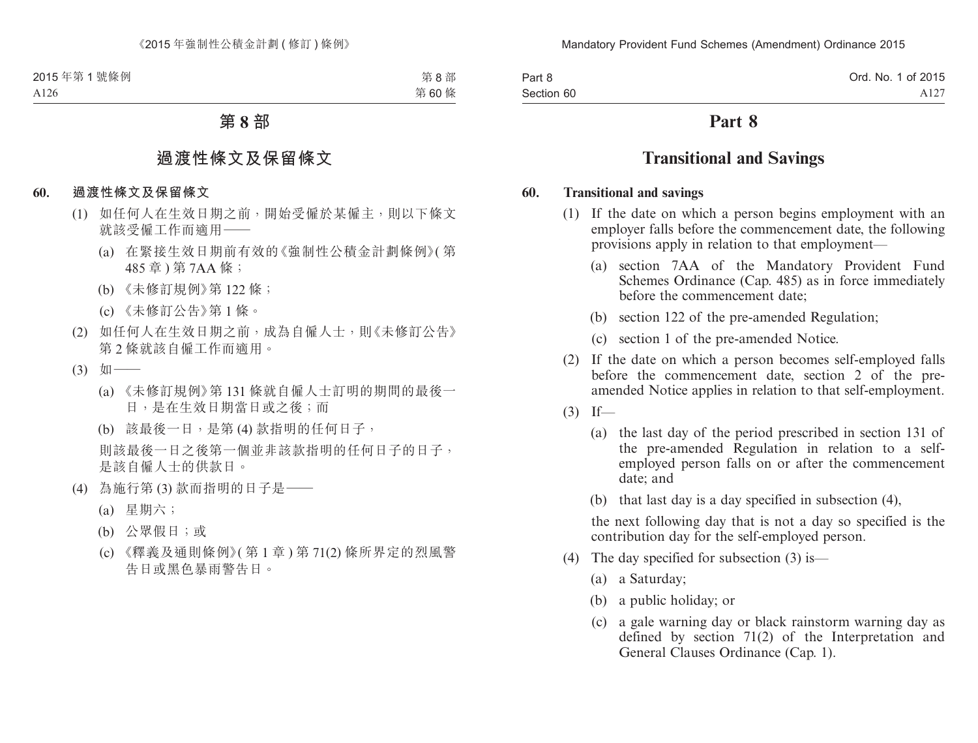| Part 8     |  |
|------------|--|
| Section 60 |  |

# **Part 8**

# **Transitional and Savings**

#### **60. Transitional and savings**

- (1) If the date on which a person begins employment with an employer falls before the commencement date, the following provisions apply in relation to that employment—
	- (a) section 7AA of the Mandatory Provident Fund Schemes Ordinance (Cap. 485) as in force immediately before the commencement date;
	- (b) section 122 of the pre-amended Regulation;
	- (c) section 1 of the pre-amended Notice.
- (2) If the date on which a person becomes self-employed falls before the commencement date, section 2 of the preamended Notice applies in relation to that self-employment.
- $(3)$  If—
	- (a) the last day of the period prescribed in section 131 of the pre-amended Regulation in relation to a selfemployed person falls on or after the commencement date; and
	- (b) that last day is a day specified in subsection (4),

the next following day that is not a day so specified is the contribution day for the self-employed person.

- (4) The day specified for subsection (3) is—
	- (a) a Saturday;
	- (b) a public holiday; or
	- (c) a gale warning day or black rainstorm warning day as defined by section 71(2) of the Interpretation and General Clauses Ordinance (Cap. 1).